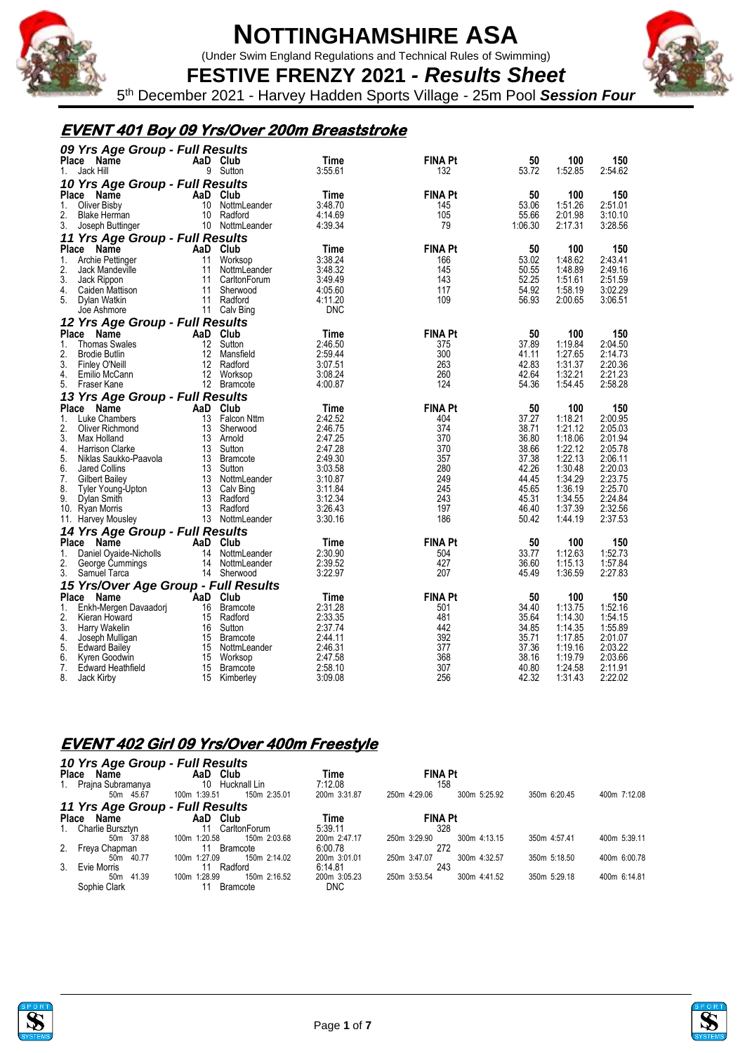

(Under Swim England Regulations and Technical Rules of Swimming)

**FESTIVE FRENZY 2021** *- Results Sheet* 5 th December 2021 - Harvey Hadden Sports Village - 25m Pool *Session Four*

#### **EVENT 401 Boy 09 Yrs/Over 200m Breaststroke**

| 09 Yrs Age Group - Full Results      |                   |                 |         |                |         |         |         |  |  |  |
|--------------------------------------|-------------------|-----------------|---------|----------------|---------|---------|---------|--|--|--|
| Place<br>Name                        |                   | AaD Club        | Time    | <b>FINA Pt</b> | 50      | 100     | 150     |  |  |  |
| Jack Hill<br>1.                      | 9                 | Sutton          | 3:55.61 | 132            | 53.72   | 1:52.85 | 2:54.62 |  |  |  |
| 10 Yrs Age Group - Full Results      |                   |                 |         |                |         |         |         |  |  |  |
| <b>Place</b><br><b>Name</b>          |                   | AaD Club        | Time    | <b>FINA Pt</b> | 50      | 100     | 150     |  |  |  |
| Oliver Bisby<br>1.                   | 10                | NottmLeander    | 3:48.70 | 145            | 53.06   | 1:51.26 | 2:51.01 |  |  |  |
| 2.<br><b>Blake Herman</b>            | 10                | Radford         | 4:14.69 | 105            | 55.66   | 2:01.98 | 3:10.10 |  |  |  |
| 3.<br>Joseph Buttinger               |                   | 10 NottmLeander | 4:39.34 | 79             | 1:06.30 | 2:17.31 | 3:28.56 |  |  |  |
| 11 Yrs Age Group - Full Results      |                   |                 |         |                |         |         |         |  |  |  |
| Place Name                           |                   | AaD Club        | Time    | <b>FINA Pt</b> | 50      | 100     | 150     |  |  |  |
| 1.<br>Archie Pettinger               | 11                | Worksop         | 3:38.24 | 166            | 53.02   | 1:48.62 | 2:43.41 |  |  |  |
| 2.<br>Jack Mandeville                | 11                | NottmLeander    | 3:48.32 | 145            | 50.55   | 1:48.89 | 2:49.16 |  |  |  |
| 3.<br>Jack Rippon                    | 11                | CarltonForum    | 3:49.49 | 143            | 52.25   | 1:51.61 | 2:51.59 |  |  |  |
| 4.<br>Caiden Mattison                | 11                | Sherwood        | 4:05.60 | 117            | 54.92   | 1:58.19 | 3:02.29 |  |  |  |
| 5.<br>Dylan Watkin                   | 11                | Radford         | 4:11.20 | 109            | 56.93   | 2:00.65 | 3:06.51 |  |  |  |
| Joe Ashmore                          | 11                | Calv Bing       | DNC     |                |         |         |         |  |  |  |
| 12 Yrs Age Group - Full Results      |                   |                 |         |                |         |         |         |  |  |  |
| Place<br>Name                        |                   | AaD Club        | Time    | <b>FINA Pt</b> | 50      | 100     | 150     |  |  |  |
| 1.<br><b>Thomas Swales</b>           | 12                | Sutton          | 2:46.50 | 375            | 37.89   | 1:19.84 | 2:04.50 |  |  |  |
| 2.<br><b>Brodie Butlin</b>           | 12                | Mansfield       | 2:59.44 | 300            | 41.11   | 1:27.65 | 2:14.73 |  |  |  |
| 3.<br>Finley O'Neill                 | $12 \overline{ }$ | Radford         | 3:07.51 | 263            | 42.83   | 1:31.37 | 2:20.36 |  |  |  |
| 4.<br>Emilio McCann                  | 12                | Worksop         | 3:08.24 | 260            | 42.64   | 1:32.21 | 2:21.23 |  |  |  |
| 5.<br>Fraser Kane                    |                   | 12 Bramcote     | 4:00.87 | 124            | 54.36   | 1:54.45 | 2:58.28 |  |  |  |
| 13 Yrs Age Group - Full Results      |                   |                 |         |                |         |         |         |  |  |  |
| Place<br>Name                        | AaD               | Club            | Time    | <b>FINA Pt</b> | 50      | 100     | 150     |  |  |  |
| 1.<br>Luke Chambers                  | 13                | Falcon Nttm     | 2:42.52 | 404            | 37.27   | 1:18.21 | 2:00.95 |  |  |  |
| 2.<br>Oliver Richmond                | 13                | Sherwood        | 2:46.75 | 374            | 38.71   | 1:21.12 | 2:05.03 |  |  |  |
| 3.<br>Max Holland                    | 13                | Arnold          | 2:47.25 | 370            | 36.80   | 1:18.06 | 2:01.94 |  |  |  |
| 4.<br>Harrison Clarke                |                   | 13 Sutton       | 2:47.28 | 370            | 38.66   | 1:22.12 | 2:05.78 |  |  |  |
| 5.<br>Niklas Saukko-Paavola          |                   | 13 Bramcote     | 2:49.30 | 357            | 37.38   | 1:22.13 | 2:06.11 |  |  |  |
| 6.<br>Jared Collins                  | 13                | Sutton          | 3:03.58 | 280            | 42.26   | 1:30.48 | 2:20.03 |  |  |  |
| 7.<br><b>Gilbert Bailey</b>          | 13                | NottmLeander    | 3:10.87 | 249            | 44.45   | 1:34.29 | 2:23.75 |  |  |  |
| 8.<br>Tyler Young-Upton              | 13                | Calv Bing       | 3:11.84 | 245            | 45.65   | 1:36.19 | 2:25.70 |  |  |  |
| 9.<br>Dylan Smith                    | 13                | Radford         | 3:12.34 | 243            | 45.31   | 1:34.55 | 2:24.84 |  |  |  |
| 10. Ryan Morris                      |                   | 13 Radford      | 3:26.43 | 197            | 46.40   | 1:37.39 | 2:32.56 |  |  |  |
| 11. Harvey Mousley                   |                   | 13 NottmLeander | 3:30.16 | 186            | 50.42   | 1:44.19 | 2:37.53 |  |  |  |
| 14 Yrs Age Group - Full Results      |                   |                 |         |                |         |         |         |  |  |  |
| <b>Place</b><br>Name                 | AaD               | Club            | Time    | <b>FINA Pt</b> | 50      | 100     | 150     |  |  |  |
| 1.<br>Daniel Oyaide-Nicholls         | 14                | NottmLeander    | 2:30.90 | 504            | 33.77   | 1:12.63 | 1:52.73 |  |  |  |
| 2.<br>George Cummings                | 14                | NottmLeander    | 2:39.52 | 427            | 36.60   | 1:15.13 | 1:57.84 |  |  |  |
| 3.<br>Samuel Tarca                   | 14                | Sherwood        | 3:22.97 | 207            | 45.49   | 1:36.59 | 2:27.83 |  |  |  |
| 15 Yrs/Over Age Group - Full Results |                   |                 |         |                |         |         |         |  |  |  |
| Place<br>Name                        |                   | AaD Club        | Time    | <b>FINA Pt</b> | 50      | 100     | 150     |  |  |  |
| 1.<br>Enkh-Mergen Davaadorj          | 16                | <b>Bramcote</b> | 2:31.28 | 501            | 34.40   | 1:13.75 | 1:52.16 |  |  |  |
| 2.<br>Kieran Howard                  |                   | 15 Radford      | 2:33.35 | 481            | 35.64   | 1:14.30 | 1:54.15 |  |  |  |
| 3.<br>Harry Wakelin                  | 16                | Sutton          | 2:37.74 | 442            | 34.85   | 1:14.35 | 1:55.89 |  |  |  |
| 4.<br>Joseph Mulligan                | 15                | <b>Bramcote</b> | 2:44.11 | 392            | 35.71   | 1:17.85 | 2:01.07 |  |  |  |
| 5.<br><b>Edward Bailey</b>           | 15                | NottmLeander    | 2:46.31 | 377            | 37.36   | 1:19.16 | 2:03.22 |  |  |  |
| 6.<br>Kyren Goodwin                  | 15                | Worksop         | 2:47.58 | 368            | 38.16   | 1:19.79 | 2:03.66 |  |  |  |
| 7.<br>Edward Heathfield              | 15                | <b>Bramcote</b> | 2:58.10 | 307            | 40.80   | 1:24.58 | 2:11.91 |  |  |  |
| 8.<br>Jack Kirbv                     | 15                | Kimberley       | 3:09.08 | 256            | 42.32   | 1:31.43 | 2:22.02 |  |  |  |

#### **EVENT 402 Girl 09 Yrs/Over 400m Freestyle**

#### *10 Yrs Age Group - Full Results*

| <b>Place</b> | Name                 | Club<br>AaD                     | Time         | <b>FINA Pt</b>               |              |              |
|--------------|----------------------|---------------------------------|--------------|------------------------------|--------------|--------------|
|              | 1. Prajna Subramanya | Hucknall Lin<br>10              | 7:12.08      | 158                          |              |              |
|              | 50m 45.67            | 150m 2:35.01<br>100m 1:39.51    | 200m 3:31.87 | 250m 4:29.06<br>300m 5:25.92 | 350m 6:20.45 | 400m 7:12.08 |
|              |                      | 11 Yrs Age Group - Full Results |              |                              |              |              |
| <b>Place</b> | Name                 | AaD Club                        | Time         | <b>FINA Pt</b>               |              |              |
|              | 1. Charlie Bursztvn  | CarltonForum                    | 5:39.11      | 328                          |              |              |
|              | 50m 37.88            | 150m 2:03.68<br>100m 1:20.58    | 200m 2:47.17 | 250m 3:29.90<br>300m 4:13.15 | 350m 4:57.41 | 400m 5:39.11 |
|              | 2. Freya Chapman     | <b>Bramcote</b>                 | 6:00.78      | 272                          |              |              |
|              | 50m 40.77            | 150m 2:14.02<br>100m 1:27.09    | 200m 3:01.01 | 250m 3:47.07<br>300m 4:32.57 | 350m 5:18.50 | 400m 6:00.78 |
| 3.           | Evie Morris          | Radford                         | 6:14.81      | 243                          |              |              |
|              | 41.39<br>50m         | 150m 2:16.52<br>100m 1:28.99    | 200m 3:05.23 | 250m 3:53.54<br>300m 4:41.52 | 350m 5:29.18 | 400m 6:14.81 |
|              | Sophie Clark         | <b>Bramcote</b>                 | <b>DNC</b>   |                              |              |              |





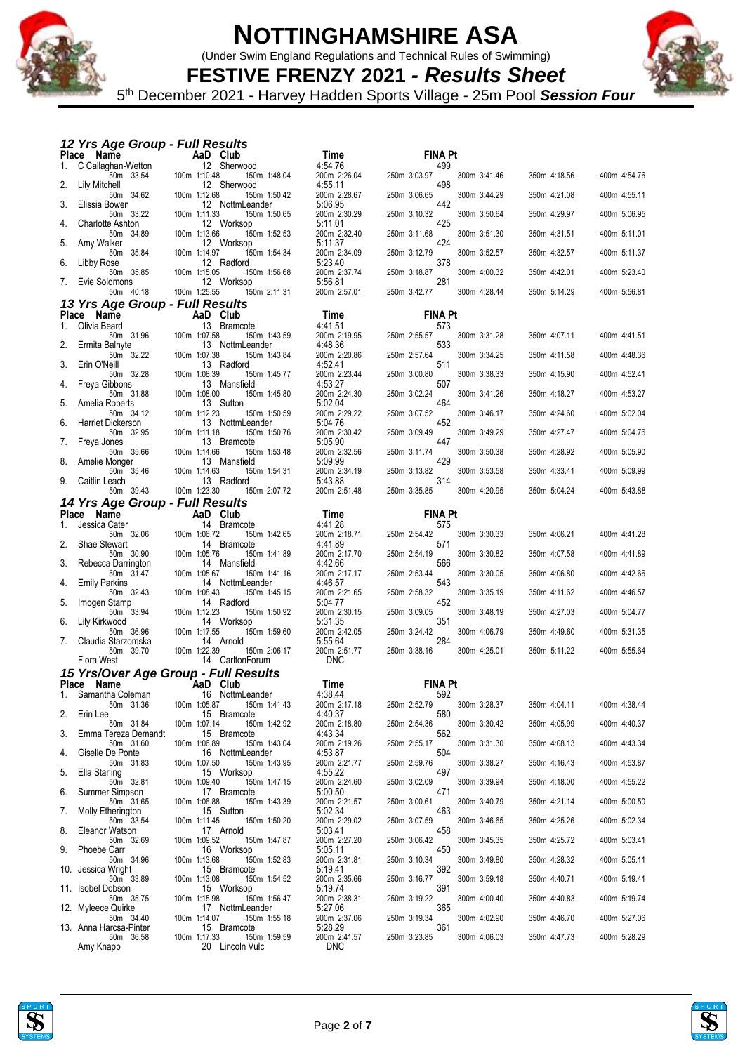

(Under Swim England Regulations and Technical Rules of Swimming)



**FESTIVE FRENZY 2021** *- Results Sheet* 5 th December 2021 - Harvey Hadden Sports Village - 25m Pool *Session Four*

#### *12 Yrs Age Group - Full Results*

|    | iz 113 Ago Gibap - Tail Nosans<br>Place Name  | AaD Club                                        | Time                       | <b>FINA Pt</b>                      |              |              |
|----|-----------------------------------------------|-------------------------------------------------|----------------------------|-------------------------------------|--------------|--------------|
| 1. | C Callaghan-Wetton                            | 12 Sherwood                                     | 4:54.76                    | 499                                 |              |              |
| 2. | 50m 33.54<br>Lily Mitchell                    | 100m 1:10.48<br>150m 1:48.04<br>12 Sherwood     | 200m 2:26.04<br>4:55.11    | 250m 3:03.97<br>300m 3:41.46<br>498 | 350m 4:18.56 | 400m 4:54.76 |
|    | 50m 34.62                                     | 100m 1:12.68<br>150m 1:50.42                    | 200m 2:28.67               | 250m 3:06.65<br>300m 3:44.29<br>442 | 350m 4:21.08 | 400m 4:55.11 |
| 3. | Elissia Bowen<br>50m 33.22                    | 12 NottmLeander<br>100m 1:11.33<br>150m 1:50.65 | 5:06.95<br>200m 2:30.29    | 250m 3:10.32<br>300m 3:50.64        | 350m 4:29.97 | 400m 5:06.95 |
| 4. | <b>Charlotte Ashton</b><br>50m 34.89          | 12 Worksop<br>100m 1:13.66<br>150m 1:52.53      | 5:11.01<br>200m 2:32.40    | 425<br>300m 3:51.30<br>250m 3:11.68 | 350m 4:31.51 | 400m 5:11.01 |
| 5. | Amy Walker<br>50m 35.84                       | 12 Worksop<br>100m 1:14.97<br>150m 1:54.34      | 5:11.37<br>200m 2:34.09    | 424<br>300m 3:52.57<br>250m 3:12.79 | 350m 4:32.57 | 400m 5:11.37 |
| 6. | Libby Rose                                    | 12 Radford                                      | 5:23.40                    | 378                                 |              |              |
| 7. | 50m 35.85<br>Evie Solomons                    | 100m 1:15.05<br>150m 1:56.68<br>12 Worksop      | 200m 2:37.74<br>5:56.81    | 250m 3:18.87<br>300m 4:00.32<br>281 | 350m 4:42.01 | 400m 5:23.40 |
|    | 50m 40.18<br>13 Yrs Age Group - Full Results  | 100m 1:25.55<br>150m 2:11.31                    | 200m 2:57.01               | 250m 3:42.77<br>300m 4:28.44        | 350m 5:14.29 | 400m 5:56.81 |
|    | Place Name                                    | AaD Club                                        | Time                       | <b>FINA Pt</b>                      |              |              |
| 1. | Olivia Beard<br>50m 31.96                     | 13 Bramcote<br>100m 1:07.58<br>150m 1:43.59     | 4:41.51<br>200m 2:19.95    | 573<br>250m 2:55.57<br>300m 3:31.28 | 350m 4:07.11 | 400m 4:41.51 |
| 2. | Ermita Balnyte                                | 13 NottmLeander                                 | 4:48.36                    | 533                                 |              |              |
| 3. | 50m 32.22<br>Erin O'Neill                     | 100m 1:07.38<br>150m 1:43.84<br>13 Radford      | 200m 2:20.86<br>4:52.41    | 250m 2:57.64<br>300m 3:34.25<br>511 | 350m 4:11.58 | 400m 4:48.36 |
|    | 50m 32.28<br>Freya Gibbons                    | 100m 1:08.39<br>150m 1:45.77<br>13 Mansfield    | 200m 2:23.44<br>4:53.27    | 300m 3:38.33<br>250m 3:00.80<br>507 | 350m 4:15.90 | 400m 4:52.41 |
| 4. | 50m 31.88                                     | 100m 1:08.00<br>150m 1:45.80                    | 200m 2:24.30               | 250m 3:02.24<br>300m 3:41.26        | 350m 4:18.27 | 400m 4:53.27 |
| 5. | Amelia Roberts<br>50m 34.12                   | 13 Sutton<br>100m 1:12.23<br>150m 1:50.59       | 5:02.04<br>200m 2:29.22    | 464<br>250m 3:07.52<br>300m 3:46.17 | 350m 4:24.60 | 400m 5:02.04 |
| 6. | <b>Harriet Dickerson</b><br>50m 32.95         | 13 NottmLeander<br>100m 1:11.18<br>150m 1:50.76 | 5:04.76<br>200m 2:30.42    | 452<br>250m 3:09.49<br>300m 3:49.29 | 350m 4:27.47 | 400m 5:04.76 |
| 7. | Freya Jones                                   | 13 Bramcote                                     | 5:05.90                    | 447                                 |              |              |
| 8. | 50m 35.66<br>Amelie Monger                    | 100m 1:14.66<br>150m 1:53.48<br>13 Mansfield    | 200m 2:32.56<br>5:09.99    | 250m 3:11.74<br>300m 3:50.38<br>429 | 350m 4:28.92 | 400m 5:05.90 |
| 9. | 50m 35.46<br>Caitlin Leach                    | 100m 1:14.63<br>150m 1:54.31<br>13 Radford      | 200m 2:34.19<br>5:43.88    | 300m 3:53.58<br>250m 3:13.82<br>314 | 350m 4:33.41 | 400m 5:09.99 |
|    | 50m 39.43                                     | 100m 1:23.30<br>150m 2:07.72                    | 200m 2:51.48               | 250m 3:35.85<br>300m 4:20.95        | 350m 5:04.24 | 400m 5:43.88 |
|    | 14 Yrs Age Group - Full Results<br>Place Name | AaD Club                                        | Time                       | <b>FINA Pt</b>                      |              |              |
| 1. | Jessica Cater                                 | 14 Bramcote                                     | 4:41.28                    | 575                                 |              |              |
| 2. | 50m 32.06<br>Shae Stewart                     | 100m 1:06.72<br>150m 1:42.65<br>14 Bramcote     | 200m 2:18.71<br>4:41.89    | 300m 3:30.33<br>250m 2:54.42<br>571 | 350m 4:06.21 | 400m 4:41.28 |
|    | 50m 30.90                                     | 100m 1:05.76<br>150m 1:41.89                    | 200m 2:17.70               | 300m 3:30.82<br>250m 2:54.19        | 350m 4:07.58 | 400m 4:41.89 |
| 3. | Rebecca Darrington<br>50m 31.47               | 14 Mansfield<br>100m 1:05.67<br>150m 1:41.16    | 4:42.66<br>200m 2:17.17    | 566<br>250m 2:53.44<br>300m 3:30.05 | 350m 4:06.80 | 400m 4:42.66 |
| 4. | <b>Emily Parkins</b><br>50m 32.43             | 14 NottmLeander<br>100m 1:08.43<br>150m 1:45.15 | 4:46.57<br>200m 2:21.65    | 543<br>250m 2:58.32<br>300m 3:35.19 | 350m 4:11.62 | 400m 4:46.57 |
| 5. | Imogen Stamp<br>50m 33.94                     | 14 Radford<br>100m 1:12.23<br>150m 1:50.92      | 5:04.77<br>200m 2:30.15    | 452<br>300m 3:48.19<br>250m 3:09.05 | 350m 4:27.03 | 400m 5:04.77 |
| 6. | Lily Kirkwood<br>50m 36.96                    | 14 Worksop<br>100m 1:17.55<br>150m 1:59.60      | 5:31.35<br>200m 2:42.05    | 351<br>250m 3:24.42<br>300m 4:06.79 | 350m 4:49.60 | 400m 5:31.35 |
| 7. | Claudia Starzomska                            | 14 Arnold                                       | 5:55.64                    | 284                                 |              |              |
|    | 50m 39.70<br>Flora West                       | 100m 1:22.39<br>150m 2:06.17<br>14 CarltonForum | 200m 2:51.77<br><b>DNC</b> | 250m 3:38.16<br>300m 4:25.01        | 350m 5:11.22 | 400m 5:55.64 |
|    |                                               | 15 Yrs/Over Age Group - Full Results            |                            |                                     |              |              |
|    | Place Name                                    | AaD Club                                        | Time                       | <b>FINA Pt</b>                      |              |              |
| 1. | Samantha Coleman<br>50m 31.36                 | 16 NottmLeander<br>100m 1:05.87<br>150m 1:41.43 | 4:38.44<br>200m 2:17.18    | 592<br>250m 2:52.79<br>300m 3:28.37 | 350m 4:04.11 | 400m 4:38.44 |
| 2. | Erin Lee<br>50m 31.84                         | 15 Bramcote<br>100m 1:07.14<br>150m 1:42.92     | 4:40.37<br>200m 2:18.80    | 580<br>250m 2:54.36<br>300m 3:30.42 | 350m 4:05.99 | 400m 4:40.37 |
| 3. | Emma Tereza Demandt<br>50m 31.60              | 15 Bramcote<br>150m 1:43.04<br>100m 1:06.89     | 4:43.34<br>200m 2:19.26    | 562<br>250m 2:55.17<br>300m 3:31.30 | 350m 4:08.13 | 400m 4:43.34 |
| 4. | Giselle De Ponte                              | 16 NottmLeander                                 | 4:53.87                    | 504                                 |              |              |
| 5. | 50m 31.83<br>Ella Starling                    | 100m 1:07.50<br>150m 1:43.95<br>15 Worksop      | 200m 2:21.77<br>4:55.22    | 250m 2:59.76<br>300m 3:38.27<br>497 | 350m 4:16.43 | 400m 4:53.87 |
| 6. | 50m 32.81<br>Summer Simpson                   | 100m 1:09.40<br>150m 1:47.15<br>17 Bramcote     | 200m 2:24.60<br>5:00.50    | 250m 3:02.09<br>300m 3:39.94<br>471 | 350m 4:18.00 | 400m 4:55.22 |
|    | 50m 31.65                                     | 100m 1:06.88<br>150m 1:43.39<br>15 Sutton       | 200m 2:21.57               | 250m 3:00.61<br>300m 3:40.79        | 350m 4:21.14 | 400m 5:00.50 |
| 7. | Molly Etherington<br>50m 33.54                | 150m 1:50.20<br>100m 1:11.45                    | 5:02.34<br>200m 2:29.02    | 463<br>250m 3:07.59<br>300m 3:46.65 | 350m 4:25.26 | 400m 5:02.34 |
| 8. | Eleanor Watson<br>50m 32.69                   | 17 Arnold<br>100m 1:09.52<br>150m 1:47.87       | 5:03.41<br>200m 2:27.20    | 458<br>250m 3:06.42<br>300m 3:45.35 | 350m 4:25.72 | 400m 5:03.41 |
| 9. | Phoebe Carr<br>50m 34.96                      | 16 Worksop<br>100m 1:13.68<br>150m 1:52.83      | 5:05.11<br>200m 2:31.81    | 450<br>250m 3:10.34<br>300m 3:49.80 | 350m 4:28.32 | 400m 5:05.11 |
|    | 10. Jessica Wright<br>50m 33.89               | 15 Bramcote<br>100m 1:13.08<br>150m 1:54.52     | 5:19.41<br>200m 2:35.66    | 392<br>250m 3:16.77<br>300m 3:59.18 | 350m 4:40.71 |              |
|    | 11. Isobel Dobson                             | 15 Worksop                                      | 5:19.74                    | 391                                 |              | 400m 5:19.41 |
|    | 50m 35.75<br>12. Myleece Quirke               | 100m 1:15.98<br>150m 1:56.47<br>17 NottmLeander | 200m 2:38.31<br>5:27.06    | 250m 3:19.22<br>300m 4:00.40<br>365 | 350m 4:40.83 | 400m 5:19.74 |
|    | 50m 34.40<br>13. Anna Harcsa-Pinter           | 100m 1:14.07<br>150m 1:55.18<br>15 Bramcote     | 200m 2:37.06<br>5:28.29    | 250m 3:19.34<br>300m 4:02.90<br>361 | 350m 4:46.70 | 400m 5:27.06 |
|    | 50m 36.58<br>Amy Knapp                        | 100m 1:17.33<br>150m 1:59.59<br>20 Lincoln Vulc | 200m 2:41.57<br><b>DNC</b> | 250m 3:23.85<br>300m 4:06.03        | 350m 4:47.73 | 400m 5:28.29 |
|    |                                               |                                                 |                            |                                     |              |              |



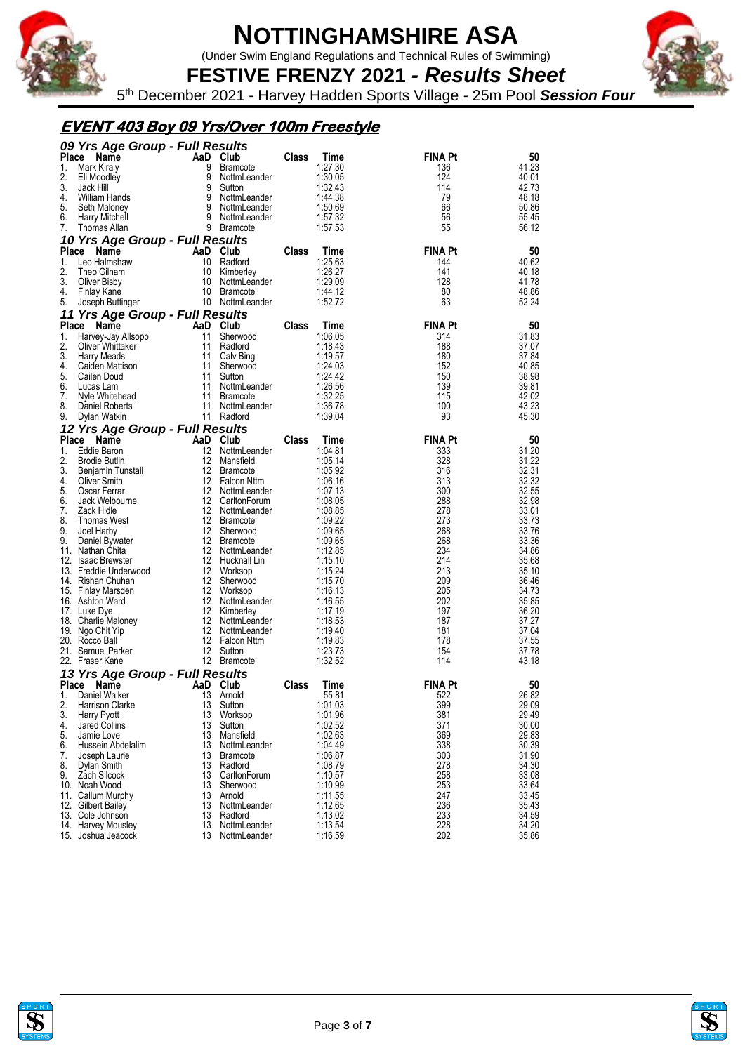

(Under Swim England Regulations and Technical Rules of Swimming)



**FESTIVE FRENZY 2021** *- Results Sheet* 5 th December 2021 - Harvey Hadden Sports Village - 25m Pool *Session Four*

### **EVENT 403 Boy 09 Yrs/Over 100m Freestyle**

| AaD Club<br><b>Place</b><br>Name<br>Time<br><b>FINA Pt</b><br><b>Class</b><br>50<br>9<br>41.23<br>1.<br>Mark Kiraly<br><b>Bramcote</b><br>1:27.30<br>136<br>2.<br>9<br>1:30.05<br>124<br>40.01<br>Eli Moodley<br>NottmLeander<br>3.<br>42.73<br>9<br>1:32.43<br>114<br>Jack Hill<br>Sutton<br>4.<br>9<br>79<br>William Hands<br>NottmLeander<br>1:44.38<br>48.18<br>66<br>5.<br>9<br>50.86<br>NottmLeander<br>1:50.69<br>Seth Maloney<br>9<br>1:57.32<br>56<br>55.45<br>6.<br><b>Harry Mitchell</b><br>NottmLeander<br>55<br>7.<br>9 Bramcote<br>1:57.53<br>56.12<br>Thomas Allan<br>10 Yrs Age Group - Full Results<br><b>FINA Pt</b><br><b>Place</b><br>AaD Club<br>Class<br>Name<br>Time<br>50<br>Leo Halmshaw<br>Radford<br>1:25.63<br>144<br>40.62<br>1.<br>10<br>2.<br>10<br>1:26.27<br>141<br>40.18<br>Theo Gilham<br>Kimberley<br>128<br>41.78<br>3.<br>10<br>1:29.09<br>Oliver Bisby<br>NottmLeander<br>1:44.12<br>80<br>48.86<br>4.<br>Finlay Kane<br>10 Bramcote<br>63<br>5.<br>10 NottmLeander<br>1:52.72<br>52.24<br>Joseph Buttinger<br>11 Yrs Age Group - Full Results<br>Place<br><b>FINA Pt</b><br>AaD<br>Club<br>Class<br>Time<br>50<br>Name<br>11<br>1:06.05<br>314<br>31.83<br>1.<br>Sherwood<br>Harvey-Jay Allsopp<br>2.<br>11<br>1:18.43<br>188<br>Radford<br>37.07<br>Oliver Whittaker<br>37.84<br>3.<br>11<br>1:19.57<br>180<br><b>Harry Meads</b><br>Calv Bing<br>11<br>152<br>40.85<br>4.<br>Sherwood<br>1:24.03<br>Caiden Mattison<br>5.<br>150<br>Cailen Doud<br>11<br>Sutton<br>1:24.42<br>38.98<br>139<br>39.81<br>11<br>1:26.56<br>6.<br>Lucas Lam<br>NottmLeander<br>1:32.25<br>115<br>42.02<br>7.<br>11<br><b>Bramcote</b><br>Nyle Whitehead<br>100<br>43.23<br>8.<br>11<br>NottmLeander<br>1:36.78<br>Daniel Roberts<br>93<br>45.30<br>11 Radford<br>1:39.04<br>9.<br>Dylan Watkin<br>12 Yrs Age Group - Full Results<br>AaD<br><b>FINA Pt</b><br><b>Place</b><br>Name<br>Club<br>Class<br>Time<br>50<br>$12 \overline{ }$<br>Eddie Baron<br>333<br>31.20<br>1.<br>NottmLeander<br>1:04.81<br>2.<br>12<br>328<br><b>Brodie Butlin</b><br>Mansfield<br>1:05.14<br>31.22<br>316<br>32.31<br>3.<br>12<br><b>Bramcote</b><br>1:05.92<br>Benjamin Tunstall<br>12 Falcon Nttm<br>313<br>32.32<br>4.<br>1:06.16<br>Oliver Smith<br>5.<br>12<br>300<br>32.55<br>Oscar Ferrar<br>NottmLeander<br>1:07.13<br>288<br>32.98<br>12<br>6.<br>Jack Welbourne<br>CarltonForum<br>1:08.05<br>12<br>278<br>7.<br>Zack Hidle<br>NottmLeander<br>1:08.85<br>33.01<br>8.<br>12<br>273<br>33.73<br><b>Thomas West</b><br><b>Bramcote</b><br>1:09.22<br>268<br>33.76<br>9.<br>12<br>Sherwood<br>1:09.65<br>Joel Harby<br>12<br>268<br>33.36<br>9.<br><b>Bramcote</b><br>1:09.65<br>Daniel Bywater<br>12<br>234<br>34.86<br>11. Nathan Chita<br>NottmLeander<br>1:12.85<br>214<br>12<br>1:15.10<br>35.68<br>12.<br><b>Isaac Brewster</b><br>Hucknall Lin<br>213<br>12 Worksop<br>13. Freddie Underwood<br>1:15.24<br>35.10<br>209<br>14. Rishan Chuhan<br>12<br>Sherwood<br>1:15.70<br>36.46<br>205<br>12<br>34.73<br>Worksop<br>1:16.13<br>15. Finlay Marsden<br>12<br>202<br>35.85<br>16. Ashton Ward<br>NottmLeander<br>1:16.55<br>197<br>17. Luke Dye<br>12<br>Kimberley<br>1:17.19<br>36.20<br>187<br>12<br>37.27<br>1:18.53<br>18.<br><b>Charlie Maloney</b><br>NottmLeander<br>12<br>181<br>NottmLeander<br>1:19.40<br>37.04<br>19. Ngo Chit Yip<br>12 Falcon Nttm<br>178<br>20. Rocco Ball<br>1:19.83<br>37.55<br>12<br>154<br>1:23.73<br>21. Samuel Parker<br>Sutton<br>37.78<br>12 Bramcote<br>1:32.52<br>114<br>43.18<br>22. Fraser Kane<br>13 Yrs Age Group - Full Results<br><b>FINA Pt</b><br>Name<br>AaD<br>Club<br>Class<br>50<br>Place<br>Time<br>26.82<br>Daniel Walker<br>13<br>Arnold<br>55.81<br>522<br>1.<br>2.<br>Harrison Clarke<br>13<br>Sutton<br>1:01.03<br>399<br>29.09<br>3.<br>381<br>13<br>1:01.96<br>29.49<br>Harry Pyott<br>Worksop<br>371<br>4.<br>13<br>1:02.52<br>30.00<br>Jared Collins<br>Sutton<br>369<br>5.<br>13<br>1:02.63<br>29.83<br>Jamie Love<br>Mansfield<br>338<br>6.<br>Hussein Abdelalim<br>13<br>NottmLeander<br>1:04.49<br>30.39<br>303<br>13<br>1:06.87<br>31.90<br>7.<br>Joseph Laurie<br>Bramcote<br>278<br>8.<br>1:08.79<br>34.30<br>Dylan Smith<br>13<br>Radford<br>258<br>9.<br>Zach Silcock<br>13<br>CarltonForum<br>1:10.57<br>33.08<br>253<br>10. Noah Wood<br>13<br>1:10.99<br>33.64<br>Sherwood<br>1:11.55<br>247<br>33.45<br>11. Callum Murphy<br>13<br>Arnold<br>13<br>236<br>12. Gilbert Bailey<br>NottmLeander<br>1:12.65<br>35.43<br>233<br>13<br>1:13.02<br>34.59<br>13. Cole Johnson<br>Radford<br>228<br>1:13.54<br>34.20<br>14. Harvey Mousley<br>13<br>NottmLeander<br>15. Joshua Jeacock<br>35.86 | 09 Yrs Age Group - Full Results |    |              |  |         |     |  |  |
|---------------------------------------------------------------------------------------------------------------------------------------------------------------------------------------------------------------------------------------------------------------------------------------------------------------------------------------------------------------------------------------------------------------------------------------------------------------------------------------------------------------------------------------------------------------------------------------------------------------------------------------------------------------------------------------------------------------------------------------------------------------------------------------------------------------------------------------------------------------------------------------------------------------------------------------------------------------------------------------------------------------------------------------------------------------------------------------------------------------------------------------------------------------------------------------------------------------------------------------------------------------------------------------------------------------------------------------------------------------------------------------------------------------------------------------------------------------------------------------------------------------------------------------------------------------------------------------------------------------------------------------------------------------------------------------------------------------------------------------------------------------------------------------------------------------------------------------------------------------------------------------------------------------------------------------------------------------------------------------------------------------------------------------------------------------------------------------------------------------------------------------------------------------------------------------------------------------------------------------------------------------------------------------------------------------------------------------------------------------------------------------------------------------------------------------------------------------------------------------------------------------------------------------------------------------------------------------------------------------------------------------------------------------------------------------------------------------------------------------------------------------------------------------------------------------------------------------------------------------------------------------------------------------------------------------------------------------------------------------------------------------------------------------------------------------------------------------------------------------------------------------------------------------------------------------------------------------------------------------------------------------------------------------------------------------------------------------------------------------------------------------------------------------------------------------------------------------------------------------------------------------------------------------------------------------------------------------------------------------------------------------------------------------------------------------------------------------------------------------------------------------------------------------------------------------------------------------------------------------------------------------------------------------------------------------------------------------------------------------------------------------------------------------------------------------------------------------------------------------------------------------------------------------------------------------------------------------------------------------------------------------------------------------------------------------------------------------------------------------------------------------------------------------------------------------------------------------------------------------------------------------------------------------------------------------------------------------------------------------------------------------------------------------------------------------|---------------------------------|----|--------------|--|---------|-----|--|--|
|                                                                                                                                                                                                                                                                                                                                                                                                                                                                                                                                                                                                                                                                                                                                                                                                                                                                                                                                                                                                                                                                                                                                                                                                                                                                                                                                                                                                                                                                                                                                                                                                                                                                                                                                                                                                                                                                                                                                                                                                                                                                                                                                                                                                                                                                                                                                                                                                                                                                                                                                                                                                                                                                                                                                                                                                                                                                                                                                                                                                                                                                                                                                                                                                                                                                                                                                                                                                                                                                                                                                                                                                                                                                                                                                                                                                                                                                                                                                                                                                                                                                                                                                                                                                                                                                                                                                                                                                                                                                                                                                                                                                                                                                                       |                                 |    |              |  |         |     |  |  |
|                                                                                                                                                                                                                                                                                                                                                                                                                                                                                                                                                                                                                                                                                                                                                                                                                                                                                                                                                                                                                                                                                                                                                                                                                                                                                                                                                                                                                                                                                                                                                                                                                                                                                                                                                                                                                                                                                                                                                                                                                                                                                                                                                                                                                                                                                                                                                                                                                                                                                                                                                                                                                                                                                                                                                                                                                                                                                                                                                                                                                                                                                                                                                                                                                                                                                                                                                                                                                                                                                                                                                                                                                                                                                                                                                                                                                                                                                                                                                                                                                                                                                                                                                                                                                                                                                                                                                                                                                                                                                                                                                                                                                                                                                       |                                 |    |              |  |         |     |  |  |
|                                                                                                                                                                                                                                                                                                                                                                                                                                                                                                                                                                                                                                                                                                                                                                                                                                                                                                                                                                                                                                                                                                                                                                                                                                                                                                                                                                                                                                                                                                                                                                                                                                                                                                                                                                                                                                                                                                                                                                                                                                                                                                                                                                                                                                                                                                                                                                                                                                                                                                                                                                                                                                                                                                                                                                                                                                                                                                                                                                                                                                                                                                                                                                                                                                                                                                                                                                                                                                                                                                                                                                                                                                                                                                                                                                                                                                                                                                                                                                                                                                                                                                                                                                                                                                                                                                                                                                                                                                                                                                                                                                                                                                                                                       |                                 |    |              |  |         |     |  |  |
|                                                                                                                                                                                                                                                                                                                                                                                                                                                                                                                                                                                                                                                                                                                                                                                                                                                                                                                                                                                                                                                                                                                                                                                                                                                                                                                                                                                                                                                                                                                                                                                                                                                                                                                                                                                                                                                                                                                                                                                                                                                                                                                                                                                                                                                                                                                                                                                                                                                                                                                                                                                                                                                                                                                                                                                                                                                                                                                                                                                                                                                                                                                                                                                                                                                                                                                                                                                                                                                                                                                                                                                                                                                                                                                                                                                                                                                                                                                                                                                                                                                                                                                                                                                                                                                                                                                                                                                                                                                                                                                                                                                                                                                                                       |                                 |    |              |  |         |     |  |  |
|                                                                                                                                                                                                                                                                                                                                                                                                                                                                                                                                                                                                                                                                                                                                                                                                                                                                                                                                                                                                                                                                                                                                                                                                                                                                                                                                                                                                                                                                                                                                                                                                                                                                                                                                                                                                                                                                                                                                                                                                                                                                                                                                                                                                                                                                                                                                                                                                                                                                                                                                                                                                                                                                                                                                                                                                                                                                                                                                                                                                                                                                                                                                                                                                                                                                                                                                                                                                                                                                                                                                                                                                                                                                                                                                                                                                                                                                                                                                                                                                                                                                                                                                                                                                                                                                                                                                                                                                                                                                                                                                                                                                                                                                                       |                                 |    |              |  |         |     |  |  |
|                                                                                                                                                                                                                                                                                                                                                                                                                                                                                                                                                                                                                                                                                                                                                                                                                                                                                                                                                                                                                                                                                                                                                                                                                                                                                                                                                                                                                                                                                                                                                                                                                                                                                                                                                                                                                                                                                                                                                                                                                                                                                                                                                                                                                                                                                                                                                                                                                                                                                                                                                                                                                                                                                                                                                                                                                                                                                                                                                                                                                                                                                                                                                                                                                                                                                                                                                                                                                                                                                                                                                                                                                                                                                                                                                                                                                                                                                                                                                                                                                                                                                                                                                                                                                                                                                                                                                                                                                                                                                                                                                                                                                                                                                       |                                 |    |              |  |         |     |  |  |
|                                                                                                                                                                                                                                                                                                                                                                                                                                                                                                                                                                                                                                                                                                                                                                                                                                                                                                                                                                                                                                                                                                                                                                                                                                                                                                                                                                                                                                                                                                                                                                                                                                                                                                                                                                                                                                                                                                                                                                                                                                                                                                                                                                                                                                                                                                                                                                                                                                                                                                                                                                                                                                                                                                                                                                                                                                                                                                                                                                                                                                                                                                                                                                                                                                                                                                                                                                                                                                                                                                                                                                                                                                                                                                                                                                                                                                                                                                                                                                                                                                                                                                                                                                                                                                                                                                                                                                                                                                                                                                                                                                                                                                                                                       |                                 |    |              |  |         |     |  |  |
|                                                                                                                                                                                                                                                                                                                                                                                                                                                                                                                                                                                                                                                                                                                                                                                                                                                                                                                                                                                                                                                                                                                                                                                                                                                                                                                                                                                                                                                                                                                                                                                                                                                                                                                                                                                                                                                                                                                                                                                                                                                                                                                                                                                                                                                                                                                                                                                                                                                                                                                                                                                                                                                                                                                                                                                                                                                                                                                                                                                                                                                                                                                                                                                                                                                                                                                                                                                                                                                                                                                                                                                                                                                                                                                                                                                                                                                                                                                                                                                                                                                                                                                                                                                                                                                                                                                                                                                                                                                                                                                                                                                                                                                                                       |                                 |    |              |  |         |     |  |  |
|                                                                                                                                                                                                                                                                                                                                                                                                                                                                                                                                                                                                                                                                                                                                                                                                                                                                                                                                                                                                                                                                                                                                                                                                                                                                                                                                                                                                                                                                                                                                                                                                                                                                                                                                                                                                                                                                                                                                                                                                                                                                                                                                                                                                                                                                                                                                                                                                                                                                                                                                                                                                                                                                                                                                                                                                                                                                                                                                                                                                                                                                                                                                                                                                                                                                                                                                                                                                                                                                                                                                                                                                                                                                                                                                                                                                                                                                                                                                                                                                                                                                                                                                                                                                                                                                                                                                                                                                                                                                                                                                                                                                                                                                                       |                                 |    |              |  |         |     |  |  |
|                                                                                                                                                                                                                                                                                                                                                                                                                                                                                                                                                                                                                                                                                                                                                                                                                                                                                                                                                                                                                                                                                                                                                                                                                                                                                                                                                                                                                                                                                                                                                                                                                                                                                                                                                                                                                                                                                                                                                                                                                                                                                                                                                                                                                                                                                                                                                                                                                                                                                                                                                                                                                                                                                                                                                                                                                                                                                                                                                                                                                                                                                                                                                                                                                                                                                                                                                                                                                                                                                                                                                                                                                                                                                                                                                                                                                                                                                                                                                                                                                                                                                                                                                                                                                                                                                                                                                                                                                                                                                                                                                                                                                                                                                       |                                 |    |              |  |         |     |  |  |
|                                                                                                                                                                                                                                                                                                                                                                                                                                                                                                                                                                                                                                                                                                                                                                                                                                                                                                                                                                                                                                                                                                                                                                                                                                                                                                                                                                                                                                                                                                                                                                                                                                                                                                                                                                                                                                                                                                                                                                                                                                                                                                                                                                                                                                                                                                                                                                                                                                                                                                                                                                                                                                                                                                                                                                                                                                                                                                                                                                                                                                                                                                                                                                                                                                                                                                                                                                                                                                                                                                                                                                                                                                                                                                                                                                                                                                                                                                                                                                                                                                                                                                                                                                                                                                                                                                                                                                                                                                                                                                                                                                                                                                                                                       |                                 |    |              |  |         |     |  |  |
|                                                                                                                                                                                                                                                                                                                                                                                                                                                                                                                                                                                                                                                                                                                                                                                                                                                                                                                                                                                                                                                                                                                                                                                                                                                                                                                                                                                                                                                                                                                                                                                                                                                                                                                                                                                                                                                                                                                                                                                                                                                                                                                                                                                                                                                                                                                                                                                                                                                                                                                                                                                                                                                                                                                                                                                                                                                                                                                                                                                                                                                                                                                                                                                                                                                                                                                                                                                                                                                                                                                                                                                                                                                                                                                                                                                                                                                                                                                                                                                                                                                                                                                                                                                                                                                                                                                                                                                                                                                                                                                                                                                                                                                                                       |                                 |    |              |  |         |     |  |  |
|                                                                                                                                                                                                                                                                                                                                                                                                                                                                                                                                                                                                                                                                                                                                                                                                                                                                                                                                                                                                                                                                                                                                                                                                                                                                                                                                                                                                                                                                                                                                                                                                                                                                                                                                                                                                                                                                                                                                                                                                                                                                                                                                                                                                                                                                                                                                                                                                                                                                                                                                                                                                                                                                                                                                                                                                                                                                                                                                                                                                                                                                                                                                                                                                                                                                                                                                                                                                                                                                                                                                                                                                                                                                                                                                                                                                                                                                                                                                                                                                                                                                                                                                                                                                                                                                                                                                                                                                                                                                                                                                                                                                                                                                                       |                                 |    |              |  |         |     |  |  |
|                                                                                                                                                                                                                                                                                                                                                                                                                                                                                                                                                                                                                                                                                                                                                                                                                                                                                                                                                                                                                                                                                                                                                                                                                                                                                                                                                                                                                                                                                                                                                                                                                                                                                                                                                                                                                                                                                                                                                                                                                                                                                                                                                                                                                                                                                                                                                                                                                                                                                                                                                                                                                                                                                                                                                                                                                                                                                                                                                                                                                                                                                                                                                                                                                                                                                                                                                                                                                                                                                                                                                                                                                                                                                                                                                                                                                                                                                                                                                                                                                                                                                                                                                                                                                                                                                                                                                                                                                                                                                                                                                                                                                                                                                       |                                 |    |              |  |         |     |  |  |
|                                                                                                                                                                                                                                                                                                                                                                                                                                                                                                                                                                                                                                                                                                                                                                                                                                                                                                                                                                                                                                                                                                                                                                                                                                                                                                                                                                                                                                                                                                                                                                                                                                                                                                                                                                                                                                                                                                                                                                                                                                                                                                                                                                                                                                                                                                                                                                                                                                                                                                                                                                                                                                                                                                                                                                                                                                                                                                                                                                                                                                                                                                                                                                                                                                                                                                                                                                                                                                                                                                                                                                                                                                                                                                                                                                                                                                                                                                                                                                                                                                                                                                                                                                                                                                                                                                                                                                                                                                                                                                                                                                                                                                                                                       |                                 |    |              |  |         |     |  |  |
|                                                                                                                                                                                                                                                                                                                                                                                                                                                                                                                                                                                                                                                                                                                                                                                                                                                                                                                                                                                                                                                                                                                                                                                                                                                                                                                                                                                                                                                                                                                                                                                                                                                                                                                                                                                                                                                                                                                                                                                                                                                                                                                                                                                                                                                                                                                                                                                                                                                                                                                                                                                                                                                                                                                                                                                                                                                                                                                                                                                                                                                                                                                                                                                                                                                                                                                                                                                                                                                                                                                                                                                                                                                                                                                                                                                                                                                                                                                                                                                                                                                                                                                                                                                                                                                                                                                                                                                                                                                                                                                                                                                                                                                                                       |                                 |    |              |  |         |     |  |  |
|                                                                                                                                                                                                                                                                                                                                                                                                                                                                                                                                                                                                                                                                                                                                                                                                                                                                                                                                                                                                                                                                                                                                                                                                                                                                                                                                                                                                                                                                                                                                                                                                                                                                                                                                                                                                                                                                                                                                                                                                                                                                                                                                                                                                                                                                                                                                                                                                                                                                                                                                                                                                                                                                                                                                                                                                                                                                                                                                                                                                                                                                                                                                                                                                                                                                                                                                                                                                                                                                                                                                                                                                                                                                                                                                                                                                                                                                                                                                                                                                                                                                                                                                                                                                                                                                                                                                                                                                                                                                                                                                                                                                                                                                                       |                                 |    |              |  |         |     |  |  |
|                                                                                                                                                                                                                                                                                                                                                                                                                                                                                                                                                                                                                                                                                                                                                                                                                                                                                                                                                                                                                                                                                                                                                                                                                                                                                                                                                                                                                                                                                                                                                                                                                                                                                                                                                                                                                                                                                                                                                                                                                                                                                                                                                                                                                                                                                                                                                                                                                                                                                                                                                                                                                                                                                                                                                                                                                                                                                                                                                                                                                                                                                                                                                                                                                                                                                                                                                                                                                                                                                                                                                                                                                                                                                                                                                                                                                                                                                                                                                                                                                                                                                                                                                                                                                                                                                                                                                                                                                                                                                                                                                                                                                                                                                       |                                 |    |              |  |         |     |  |  |
|                                                                                                                                                                                                                                                                                                                                                                                                                                                                                                                                                                                                                                                                                                                                                                                                                                                                                                                                                                                                                                                                                                                                                                                                                                                                                                                                                                                                                                                                                                                                                                                                                                                                                                                                                                                                                                                                                                                                                                                                                                                                                                                                                                                                                                                                                                                                                                                                                                                                                                                                                                                                                                                                                                                                                                                                                                                                                                                                                                                                                                                                                                                                                                                                                                                                                                                                                                                                                                                                                                                                                                                                                                                                                                                                                                                                                                                                                                                                                                                                                                                                                                                                                                                                                                                                                                                                                                                                                                                                                                                                                                                                                                                                                       |                                 |    |              |  |         |     |  |  |
|                                                                                                                                                                                                                                                                                                                                                                                                                                                                                                                                                                                                                                                                                                                                                                                                                                                                                                                                                                                                                                                                                                                                                                                                                                                                                                                                                                                                                                                                                                                                                                                                                                                                                                                                                                                                                                                                                                                                                                                                                                                                                                                                                                                                                                                                                                                                                                                                                                                                                                                                                                                                                                                                                                                                                                                                                                                                                                                                                                                                                                                                                                                                                                                                                                                                                                                                                                                                                                                                                                                                                                                                                                                                                                                                                                                                                                                                                                                                                                                                                                                                                                                                                                                                                                                                                                                                                                                                                                                                                                                                                                                                                                                                                       |                                 |    |              |  |         |     |  |  |
|                                                                                                                                                                                                                                                                                                                                                                                                                                                                                                                                                                                                                                                                                                                                                                                                                                                                                                                                                                                                                                                                                                                                                                                                                                                                                                                                                                                                                                                                                                                                                                                                                                                                                                                                                                                                                                                                                                                                                                                                                                                                                                                                                                                                                                                                                                                                                                                                                                                                                                                                                                                                                                                                                                                                                                                                                                                                                                                                                                                                                                                                                                                                                                                                                                                                                                                                                                                                                                                                                                                                                                                                                                                                                                                                                                                                                                                                                                                                                                                                                                                                                                                                                                                                                                                                                                                                                                                                                                                                                                                                                                                                                                                                                       |                                 |    |              |  |         |     |  |  |
|                                                                                                                                                                                                                                                                                                                                                                                                                                                                                                                                                                                                                                                                                                                                                                                                                                                                                                                                                                                                                                                                                                                                                                                                                                                                                                                                                                                                                                                                                                                                                                                                                                                                                                                                                                                                                                                                                                                                                                                                                                                                                                                                                                                                                                                                                                                                                                                                                                                                                                                                                                                                                                                                                                                                                                                                                                                                                                                                                                                                                                                                                                                                                                                                                                                                                                                                                                                                                                                                                                                                                                                                                                                                                                                                                                                                                                                                                                                                                                                                                                                                                                                                                                                                                                                                                                                                                                                                                                                                                                                                                                                                                                                                                       |                                 |    |              |  |         |     |  |  |
|                                                                                                                                                                                                                                                                                                                                                                                                                                                                                                                                                                                                                                                                                                                                                                                                                                                                                                                                                                                                                                                                                                                                                                                                                                                                                                                                                                                                                                                                                                                                                                                                                                                                                                                                                                                                                                                                                                                                                                                                                                                                                                                                                                                                                                                                                                                                                                                                                                                                                                                                                                                                                                                                                                                                                                                                                                                                                                                                                                                                                                                                                                                                                                                                                                                                                                                                                                                                                                                                                                                                                                                                                                                                                                                                                                                                                                                                                                                                                                                                                                                                                                                                                                                                                                                                                                                                                                                                                                                                                                                                                                                                                                                                                       |                                 |    |              |  |         |     |  |  |
|                                                                                                                                                                                                                                                                                                                                                                                                                                                                                                                                                                                                                                                                                                                                                                                                                                                                                                                                                                                                                                                                                                                                                                                                                                                                                                                                                                                                                                                                                                                                                                                                                                                                                                                                                                                                                                                                                                                                                                                                                                                                                                                                                                                                                                                                                                                                                                                                                                                                                                                                                                                                                                                                                                                                                                                                                                                                                                                                                                                                                                                                                                                                                                                                                                                                                                                                                                                                                                                                                                                                                                                                                                                                                                                                                                                                                                                                                                                                                                                                                                                                                                                                                                                                                                                                                                                                                                                                                                                                                                                                                                                                                                                                                       |                                 |    |              |  |         |     |  |  |
|                                                                                                                                                                                                                                                                                                                                                                                                                                                                                                                                                                                                                                                                                                                                                                                                                                                                                                                                                                                                                                                                                                                                                                                                                                                                                                                                                                                                                                                                                                                                                                                                                                                                                                                                                                                                                                                                                                                                                                                                                                                                                                                                                                                                                                                                                                                                                                                                                                                                                                                                                                                                                                                                                                                                                                                                                                                                                                                                                                                                                                                                                                                                                                                                                                                                                                                                                                                                                                                                                                                                                                                                                                                                                                                                                                                                                                                                                                                                                                                                                                                                                                                                                                                                                                                                                                                                                                                                                                                                                                                                                                                                                                                                                       |                                 |    |              |  |         |     |  |  |
|                                                                                                                                                                                                                                                                                                                                                                                                                                                                                                                                                                                                                                                                                                                                                                                                                                                                                                                                                                                                                                                                                                                                                                                                                                                                                                                                                                                                                                                                                                                                                                                                                                                                                                                                                                                                                                                                                                                                                                                                                                                                                                                                                                                                                                                                                                                                                                                                                                                                                                                                                                                                                                                                                                                                                                                                                                                                                                                                                                                                                                                                                                                                                                                                                                                                                                                                                                                                                                                                                                                                                                                                                                                                                                                                                                                                                                                                                                                                                                                                                                                                                                                                                                                                                                                                                                                                                                                                                                                                                                                                                                                                                                                                                       |                                 |    |              |  |         |     |  |  |
|                                                                                                                                                                                                                                                                                                                                                                                                                                                                                                                                                                                                                                                                                                                                                                                                                                                                                                                                                                                                                                                                                                                                                                                                                                                                                                                                                                                                                                                                                                                                                                                                                                                                                                                                                                                                                                                                                                                                                                                                                                                                                                                                                                                                                                                                                                                                                                                                                                                                                                                                                                                                                                                                                                                                                                                                                                                                                                                                                                                                                                                                                                                                                                                                                                                                                                                                                                                                                                                                                                                                                                                                                                                                                                                                                                                                                                                                                                                                                                                                                                                                                                                                                                                                                                                                                                                                                                                                                                                                                                                                                                                                                                                                                       |                                 |    |              |  |         |     |  |  |
|                                                                                                                                                                                                                                                                                                                                                                                                                                                                                                                                                                                                                                                                                                                                                                                                                                                                                                                                                                                                                                                                                                                                                                                                                                                                                                                                                                                                                                                                                                                                                                                                                                                                                                                                                                                                                                                                                                                                                                                                                                                                                                                                                                                                                                                                                                                                                                                                                                                                                                                                                                                                                                                                                                                                                                                                                                                                                                                                                                                                                                                                                                                                                                                                                                                                                                                                                                                                                                                                                                                                                                                                                                                                                                                                                                                                                                                                                                                                                                                                                                                                                                                                                                                                                                                                                                                                                                                                                                                                                                                                                                                                                                                                                       |                                 |    |              |  |         |     |  |  |
|                                                                                                                                                                                                                                                                                                                                                                                                                                                                                                                                                                                                                                                                                                                                                                                                                                                                                                                                                                                                                                                                                                                                                                                                                                                                                                                                                                                                                                                                                                                                                                                                                                                                                                                                                                                                                                                                                                                                                                                                                                                                                                                                                                                                                                                                                                                                                                                                                                                                                                                                                                                                                                                                                                                                                                                                                                                                                                                                                                                                                                                                                                                                                                                                                                                                                                                                                                                                                                                                                                                                                                                                                                                                                                                                                                                                                                                                                                                                                                                                                                                                                                                                                                                                                                                                                                                                                                                                                                                                                                                                                                                                                                                                                       |                                 |    |              |  |         |     |  |  |
|                                                                                                                                                                                                                                                                                                                                                                                                                                                                                                                                                                                                                                                                                                                                                                                                                                                                                                                                                                                                                                                                                                                                                                                                                                                                                                                                                                                                                                                                                                                                                                                                                                                                                                                                                                                                                                                                                                                                                                                                                                                                                                                                                                                                                                                                                                                                                                                                                                                                                                                                                                                                                                                                                                                                                                                                                                                                                                                                                                                                                                                                                                                                                                                                                                                                                                                                                                                                                                                                                                                                                                                                                                                                                                                                                                                                                                                                                                                                                                                                                                                                                                                                                                                                                                                                                                                                                                                                                                                                                                                                                                                                                                                                                       |                                 |    |              |  |         |     |  |  |
|                                                                                                                                                                                                                                                                                                                                                                                                                                                                                                                                                                                                                                                                                                                                                                                                                                                                                                                                                                                                                                                                                                                                                                                                                                                                                                                                                                                                                                                                                                                                                                                                                                                                                                                                                                                                                                                                                                                                                                                                                                                                                                                                                                                                                                                                                                                                                                                                                                                                                                                                                                                                                                                                                                                                                                                                                                                                                                                                                                                                                                                                                                                                                                                                                                                                                                                                                                                                                                                                                                                                                                                                                                                                                                                                                                                                                                                                                                                                                                                                                                                                                                                                                                                                                                                                                                                                                                                                                                                                                                                                                                                                                                                                                       |                                 |    |              |  |         |     |  |  |
|                                                                                                                                                                                                                                                                                                                                                                                                                                                                                                                                                                                                                                                                                                                                                                                                                                                                                                                                                                                                                                                                                                                                                                                                                                                                                                                                                                                                                                                                                                                                                                                                                                                                                                                                                                                                                                                                                                                                                                                                                                                                                                                                                                                                                                                                                                                                                                                                                                                                                                                                                                                                                                                                                                                                                                                                                                                                                                                                                                                                                                                                                                                                                                                                                                                                                                                                                                                                                                                                                                                                                                                                                                                                                                                                                                                                                                                                                                                                                                                                                                                                                                                                                                                                                                                                                                                                                                                                                                                                                                                                                                                                                                                                                       |                                 |    |              |  |         |     |  |  |
|                                                                                                                                                                                                                                                                                                                                                                                                                                                                                                                                                                                                                                                                                                                                                                                                                                                                                                                                                                                                                                                                                                                                                                                                                                                                                                                                                                                                                                                                                                                                                                                                                                                                                                                                                                                                                                                                                                                                                                                                                                                                                                                                                                                                                                                                                                                                                                                                                                                                                                                                                                                                                                                                                                                                                                                                                                                                                                                                                                                                                                                                                                                                                                                                                                                                                                                                                                                                                                                                                                                                                                                                                                                                                                                                                                                                                                                                                                                                                                                                                                                                                                                                                                                                                                                                                                                                                                                                                                                                                                                                                                                                                                                                                       |                                 |    |              |  |         |     |  |  |
|                                                                                                                                                                                                                                                                                                                                                                                                                                                                                                                                                                                                                                                                                                                                                                                                                                                                                                                                                                                                                                                                                                                                                                                                                                                                                                                                                                                                                                                                                                                                                                                                                                                                                                                                                                                                                                                                                                                                                                                                                                                                                                                                                                                                                                                                                                                                                                                                                                                                                                                                                                                                                                                                                                                                                                                                                                                                                                                                                                                                                                                                                                                                                                                                                                                                                                                                                                                                                                                                                                                                                                                                                                                                                                                                                                                                                                                                                                                                                                                                                                                                                                                                                                                                                                                                                                                                                                                                                                                                                                                                                                                                                                                                                       |                                 |    |              |  |         |     |  |  |
|                                                                                                                                                                                                                                                                                                                                                                                                                                                                                                                                                                                                                                                                                                                                                                                                                                                                                                                                                                                                                                                                                                                                                                                                                                                                                                                                                                                                                                                                                                                                                                                                                                                                                                                                                                                                                                                                                                                                                                                                                                                                                                                                                                                                                                                                                                                                                                                                                                                                                                                                                                                                                                                                                                                                                                                                                                                                                                                                                                                                                                                                                                                                                                                                                                                                                                                                                                                                                                                                                                                                                                                                                                                                                                                                                                                                                                                                                                                                                                                                                                                                                                                                                                                                                                                                                                                                                                                                                                                                                                                                                                                                                                                                                       |                                 |    |              |  |         |     |  |  |
|                                                                                                                                                                                                                                                                                                                                                                                                                                                                                                                                                                                                                                                                                                                                                                                                                                                                                                                                                                                                                                                                                                                                                                                                                                                                                                                                                                                                                                                                                                                                                                                                                                                                                                                                                                                                                                                                                                                                                                                                                                                                                                                                                                                                                                                                                                                                                                                                                                                                                                                                                                                                                                                                                                                                                                                                                                                                                                                                                                                                                                                                                                                                                                                                                                                                                                                                                                                                                                                                                                                                                                                                                                                                                                                                                                                                                                                                                                                                                                                                                                                                                                                                                                                                                                                                                                                                                                                                                                                                                                                                                                                                                                                                                       |                                 |    |              |  |         |     |  |  |
|                                                                                                                                                                                                                                                                                                                                                                                                                                                                                                                                                                                                                                                                                                                                                                                                                                                                                                                                                                                                                                                                                                                                                                                                                                                                                                                                                                                                                                                                                                                                                                                                                                                                                                                                                                                                                                                                                                                                                                                                                                                                                                                                                                                                                                                                                                                                                                                                                                                                                                                                                                                                                                                                                                                                                                                                                                                                                                                                                                                                                                                                                                                                                                                                                                                                                                                                                                                                                                                                                                                                                                                                                                                                                                                                                                                                                                                                                                                                                                                                                                                                                                                                                                                                                                                                                                                                                                                                                                                                                                                                                                                                                                                                                       |                                 |    |              |  |         |     |  |  |
|                                                                                                                                                                                                                                                                                                                                                                                                                                                                                                                                                                                                                                                                                                                                                                                                                                                                                                                                                                                                                                                                                                                                                                                                                                                                                                                                                                                                                                                                                                                                                                                                                                                                                                                                                                                                                                                                                                                                                                                                                                                                                                                                                                                                                                                                                                                                                                                                                                                                                                                                                                                                                                                                                                                                                                                                                                                                                                                                                                                                                                                                                                                                                                                                                                                                                                                                                                                                                                                                                                                                                                                                                                                                                                                                                                                                                                                                                                                                                                                                                                                                                                                                                                                                                                                                                                                                                                                                                                                                                                                                                                                                                                                                                       |                                 |    |              |  |         |     |  |  |
|                                                                                                                                                                                                                                                                                                                                                                                                                                                                                                                                                                                                                                                                                                                                                                                                                                                                                                                                                                                                                                                                                                                                                                                                                                                                                                                                                                                                                                                                                                                                                                                                                                                                                                                                                                                                                                                                                                                                                                                                                                                                                                                                                                                                                                                                                                                                                                                                                                                                                                                                                                                                                                                                                                                                                                                                                                                                                                                                                                                                                                                                                                                                                                                                                                                                                                                                                                                                                                                                                                                                                                                                                                                                                                                                                                                                                                                                                                                                                                                                                                                                                                                                                                                                                                                                                                                                                                                                                                                                                                                                                                                                                                                                                       |                                 |    |              |  |         |     |  |  |
|                                                                                                                                                                                                                                                                                                                                                                                                                                                                                                                                                                                                                                                                                                                                                                                                                                                                                                                                                                                                                                                                                                                                                                                                                                                                                                                                                                                                                                                                                                                                                                                                                                                                                                                                                                                                                                                                                                                                                                                                                                                                                                                                                                                                                                                                                                                                                                                                                                                                                                                                                                                                                                                                                                                                                                                                                                                                                                                                                                                                                                                                                                                                                                                                                                                                                                                                                                                                                                                                                                                                                                                                                                                                                                                                                                                                                                                                                                                                                                                                                                                                                                                                                                                                                                                                                                                                                                                                                                                                                                                                                                                                                                                                                       |                                 |    |              |  |         |     |  |  |
|                                                                                                                                                                                                                                                                                                                                                                                                                                                                                                                                                                                                                                                                                                                                                                                                                                                                                                                                                                                                                                                                                                                                                                                                                                                                                                                                                                                                                                                                                                                                                                                                                                                                                                                                                                                                                                                                                                                                                                                                                                                                                                                                                                                                                                                                                                                                                                                                                                                                                                                                                                                                                                                                                                                                                                                                                                                                                                                                                                                                                                                                                                                                                                                                                                                                                                                                                                                                                                                                                                                                                                                                                                                                                                                                                                                                                                                                                                                                                                                                                                                                                                                                                                                                                                                                                                                                                                                                                                                                                                                                                                                                                                                                                       |                                 |    |              |  |         |     |  |  |
|                                                                                                                                                                                                                                                                                                                                                                                                                                                                                                                                                                                                                                                                                                                                                                                                                                                                                                                                                                                                                                                                                                                                                                                                                                                                                                                                                                                                                                                                                                                                                                                                                                                                                                                                                                                                                                                                                                                                                                                                                                                                                                                                                                                                                                                                                                                                                                                                                                                                                                                                                                                                                                                                                                                                                                                                                                                                                                                                                                                                                                                                                                                                                                                                                                                                                                                                                                                                                                                                                                                                                                                                                                                                                                                                                                                                                                                                                                                                                                                                                                                                                                                                                                                                                                                                                                                                                                                                                                                                                                                                                                                                                                                                                       |                                 |    |              |  |         |     |  |  |
|                                                                                                                                                                                                                                                                                                                                                                                                                                                                                                                                                                                                                                                                                                                                                                                                                                                                                                                                                                                                                                                                                                                                                                                                                                                                                                                                                                                                                                                                                                                                                                                                                                                                                                                                                                                                                                                                                                                                                                                                                                                                                                                                                                                                                                                                                                                                                                                                                                                                                                                                                                                                                                                                                                                                                                                                                                                                                                                                                                                                                                                                                                                                                                                                                                                                                                                                                                                                                                                                                                                                                                                                                                                                                                                                                                                                                                                                                                                                                                                                                                                                                                                                                                                                                                                                                                                                                                                                                                                                                                                                                                                                                                                                                       |                                 |    |              |  |         |     |  |  |
|                                                                                                                                                                                                                                                                                                                                                                                                                                                                                                                                                                                                                                                                                                                                                                                                                                                                                                                                                                                                                                                                                                                                                                                                                                                                                                                                                                                                                                                                                                                                                                                                                                                                                                                                                                                                                                                                                                                                                                                                                                                                                                                                                                                                                                                                                                                                                                                                                                                                                                                                                                                                                                                                                                                                                                                                                                                                                                                                                                                                                                                                                                                                                                                                                                                                                                                                                                                                                                                                                                                                                                                                                                                                                                                                                                                                                                                                                                                                                                                                                                                                                                                                                                                                                                                                                                                                                                                                                                                                                                                                                                                                                                                                                       |                                 |    |              |  |         |     |  |  |
|                                                                                                                                                                                                                                                                                                                                                                                                                                                                                                                                                                                                                                                                                                                                                                                                                                                                                                                                                                                                                                                                                                                                                                                                                                                                                                                                                                                                                                                                                                                                                                                                                                                                                                                                                                                                                                                                                                                                                                                                                                                                                                                                                                                                                                                                                                                                                                                                                                                                                                                                                                                                                                                                                                                                                                                                                                                                                                                                                                                                                                                                                                                                                                                                                                                                                                                                                                                                                                                                                                                                                                                                                                                                                                                                                                                                                                                                                                                                                                                                                                                                                                                                                                                                                                                                                                                                                                                                                                                                                                                                                                                                                                                                                       |                                 |    |              |  |         |     |  |  |
|                                                                                                                                                                                                                                                                                                                                                                                                                                                                                                                                                                                                                                                                                                                                                                                                                                                                                                                                                                                                                                                                                                                                                                                                                                                                                                                                                                                                                                                                                                                                                                                                                                                                                                                                                                                                                                                                                                                                                                                                                                                                                                                                                                                                                                                                                                                                                                                                                                                                                                                                                                                                                                                                                                                                                                                                                                                                                                                                                                                                                                                                                                                                                                                                                                                                                                                                                                                                                                                                                                                                                                                                                                                                                                                                                                                                                                                                                                                                                                                                                                                                                                                                                                                                                                                                                                                                                                                                                                                                                                                                                                                                                                                                                       |                                 |    |              |  |         |     |  |  |
|                                                                                                                                                                                                                                                                                                                                                                                                                                                                                                                                                                                                                                                                                                                                                                                                                                                                                                                                                                                                                                                                                                                                                                                                                                                                                                                                                                                                                                                                                                                                                                                                                                                                                                                                                                                                                                                                                                                                                                                                                                                                                                                                                                                                                                                                                                                                                                                                                                                                                                                                                                                                                                                                                                                                                                                                                                                                                                                                                                                                                                                                                                                                                                                                                                                                                                                                                                                                                                                                                                                                                                                                                                                                                                                                                                                                                                                                                                                                                                                                                                                                                                                                                                                                                                                                                                                                                                                                                                                                                                                                                                                                                                                                                       |                                 |    |              |  |         |     |  |  |
|                                                                                                                                                                                                                                                                                                                                                                                                                                                                                                                                                                                                                                                                                                                                                                                                                                                                                                                                                                                                                                                                                                                                                                                                                                                                                                                                                                                                                                                                                                                                                                                                                                                                                                                                                                                                                                                                                                                                                                                                                                                                                                                                                                                                                                                                                                                                                                                                                                                                                                                                                                                                                                                                                                                                                                                                                                                                                                                                                                                                                                                                                                                                                                                                                                                                                                                                                                                                                                                                                                                                                                                                                                                                                                                                                                                                                                                                                                                                                                                                                                                                                                                                                                                                                                                                                                                                                                                                                                                                                                                                                                                                                                                                                       |                                 |    |              |  |         |     |  |  |
|                                                                                                                                                                                                                                                                                                                                                                                                                                                                                                                                                                                                                                                                                                                                                                                                                                                                                                                                                                                                                                                                                                                                                                                                                                                                                                                                                                                                                                                                                                                                                                                                                                                                                                                                                                                                                                                                                                                                                                                                                                                                                                                                                                                                                                                                                                                                                                                                                                                                                                                                                                                                                                                                                                                                                                                                                                                                                                                                                                                                                                                                                                                                                                                                                                                                                                                                                                                                                                                                                                                                                                                                                                                                                                                                                                                                                                                                                                                                                                                                                                                                                                                                                                                                                                                                                                                                                                                                                                                                                                                                                                                                                                                                                       |                                 |    |              |  |         |     |  |  |
|                                                                                                                                                                                                                                                                                                                                                                                                                                                                                                                                                                                                                                                                                                                                                                                                                                                                                                                                                                                                                                                                                                                                                                                                                                                                                                                                                                                                                                                                                                                                                                                                                                                                                                                                                                                                                                                                                                                                                                                                                                                                                                                                                                                                                                                                                                                                                                                                                                                                                                                                                                                                                                                                                                                                                                                                                                                                                                                                                                                                                                                                                                                                                                                                                                                                                                                                                                                                                                                                                                                                                                                                                                                                                                                                                                                                                                                                                                                                                                                                                                                                                                                                                                                                                                                                                                                                                                                                                                                                                                                                                                                                                                                                                       |                                 |    |              |  |         |     |  |  |
|                                                                                                                                                                                                                                                                                                                                                                                                                                                                                                                                                                                                                                                                                                                                                                                                                                                                                                                                                                                                                                                                                                                                                                                                                                                                                                                                                                                                                                                                                                                                                                                                                                                                                                                                                                                                                                                                                                                                                                                                                                                                                                                                                                                                                                                                                                                                                                                                                                                                                                                                                                                                                                                                                                                                                                                                                                                                                                                                                                                                                                                                                                                                                                                                                                                                                                                                                                                                                                                                                                                                                                                                                                                                                                                                                                                                                                                                                                                                                                                                                                                                                                                                                                                                                                                                                                                                                                                                                                                                                                                                                                                                                                                                                       |                                 |    |              |  |         |     |  |  |
|                                                                                                                                                                                                                                                                                                                                                                                                                                                                                                                                                                                                                                                                                                                                                                                                                                                                                                                                                                                                                                                                                                                                                                                                                                                                                                                                                                                                                                                                                                                                                                                                                                                                                                                                                                                                                                                                                                                                                                                                                                                                                                                                                                                                                                                                                                                                                                                                                                                                                                                                                                                                                                                                                                                                                                                                                                                                                                                                                                                                                                                                                                                                                                                                                                                                                                                                                                                                                                                                                                                                                                                                                                                                                                                                                                                                                                                                                                                                                                                                                                                                                                                                                                                                                                                                                                                                                                                                                                                                                                                                                                                                                                                                                       |                                 |    |              |  |         |     |  |  |
|                                                                                                                                                                                                                                                                                                                                                                                                                                                                                                                                                                                                                                                                                                                                                                                                                                                                                                                                                                                                                                                                                                                                                                                                                                                                                                                                                                                                                                                                                                                                                                                                                                                                                                                                                                                                                                                                                                                                                                                                                                                                                                                                                                                                                                                                                                                                                                                                                                                                                                                                                                                                                                                                                                                                                                                                                                                                                                                                                                                                                                                                                                                                                                                                                                                                                                                                                                                                                                                                                                                                                                                                                                                                                                                                                                                                                                                                                                                                                                                                                                                                                                                                                                                                                                                                                                                                                                                                                                                                                                                                                                                                                                                                                       |                                 |    |              |  |         |     |  |  |
|                                                                                                                                                                                                                                                                                                                                                                                                                                                                                                                                                                                                                                                                                                                                                                                                                                                                                                                                                                                                                                                                                                                                                                                                                                                                                                                                                                                                                                                                                                                                                                                                                                                                                                                                                                                                                                                                                                                                                                                                                                                                                                                                                                                                                                                                                                                                                                                                                                                                                                                                                                                                                                                                                                                                                                                                                                                                                                                                                                                                                                                                                                                                                                                                                                                                                                                                                                                                                                                                                                                                                                                                                                                                                                                                                                                                                                                                                                                                                                                                                                                                                                                                                                                                                                                                                                                                                                                                                                                                                                                                                                                                                                                                                       |                                 |    |              |  |         |     |  |  |
|                                                                                                                                                                                                                                                                                                                                                                                                                                                                                                                                                                                                                                                                                                                                                                                                                                                                                                                                                                                                                                                                                                                                                                                                                                                                                                                                                                                                                                                                                                                                                                                                                                                                                                                                                                                                                                                                                                                                                                                                                                                                                                                                                                                                                                                                                                                                                                                                                                                                                                                                                                                                                                                                                                                                                                                                                                                                                                                                                                                                                                                                                                                                                                                                                                                                                                                                                                                                                                                                                                                                                                                                                                                                                                                                                                                                                                                                                                                                                                                                                                                                                                                                                                                                                                                                                                                                                                                                                                                                                                                                                                                                                                                                                       |                                 |    |              |  |         |     |  |  |
|                                                                                                                                                                                                                                                                                                                                                                                                                                                                                                                                                                                                                                                                                                                                                                                                                                                                                                                                                                                                                                                                                                                                                                                                                                                                                                                                                                                                                                                                                                                                                                                                                                                                                                                                                                                                                                                                                                                                                                                                                                                                                                                                                                                                                                                                                                                                                                                                                                                                                                                                                                                                                                                                                                                                                                                                                                                                                                                                                                                                                                                                                                                                                                                                                                                                                                                                                                                                                                                                                                                                                                                                                                                                                                                                                                                                                                                                                                                                                                                                                                                                                                                                                                                                                                                                                                                                                                                                                                                                                                                                                                                                                                                                                       |                                 |    |              |  |         |     |  |  |
|                                                                                                                                                                                                                                                                                                                                                                                                                                                                                                                                                                                                                                                                                                                                                                                                                                                                                                                                                                                                                                                                                                                                                                                                                                                                                                                                                                                                                                                                                                                                                                                                                                                                                                                                                                                                                                                                                                                                                                                                                                                                                                                                                                                                                                                                                                                                                                                                                                                                                                                                                                                                                                                                                                                                                                                                                                                                                                                                                                                                                                                                                                                                                                                                                                                                                                                                                                                                                                                                                                                                                                                                                                                                                                                                                                                                                                                                                                                                                                                                                                                                                                                                                                                                                                                                                                                                                                                                                                                                                                                                                                                                                                                                                       |                                 |    |              |  |         |     |  |  |
|                                                                                                                                                                                                                                                                                                                                                                                                                                                                                                                                                                                                                                                                                                                                                                                                                                                                                                                                                                                                                                                                                                                                                                                                                                                                                                                                                                                                                                                                                                                                                                                                                                                                                                                                                                                                                                                                                                                                                                                                                                                                                                                                                                                                                                                                                                                                                                                                                                                                                                                                                                                                                                                                                                                                                                                                                                                                                                                                                                                                                                                                                                                                                                                                                                                                                                                                                                                                                                                                                                                                                                                                                                                                                                                                                                                                                                                                                                                                                                                                                                                                                                                                                                                                                                                                                                                                                                                                                                                                                                                                                                                                                                                                                       |                                 |    |              |  |         |     |  |  |
|                                                                                                                                                                                                                                                                                                                                                                                                                                                                                                                                                                                                                                                                                                                                                                                                                                                                                                                                                                                                                                                                                                                                                                                                                                                                                                                                                                                                                                                                                                                                                                                                                                                                                                                                                                                                                                                                                                                                                                                                                                                                                                                                                                                                                                                                                                                                                                                                                                                                                                                                                                                                                                                                                                                                                                                                                                                                                                                                                                                                                                                                                                                                                                                                                                                                                                                                                                                                                                                                                                                                                                                                                                                                                                                                                                                                                                                                                                                                                                                                                                                                                                                                                                                                                                                                                                                                                                                                                                                                                                                                                                                                                                                                                       |                                 |    |              |  |         |     |  |  |
|                                                                                                                                                                                                                                                                                                                                                                                                                                                                                                                                                                                                                                                                                                                                                                                                                                                                                                                                                                                                                                                                                                                                                                                                                                                                                                                                                                                                                                                                                                                                                                                                                                                                                                                                                                                                                                                                                                                                                                                                                                                                                                                                                                                                                                                                                                                                                                                                                                                                                                                                                                                                                                                                                                                                                                                                                                                                                                                                                                                                                                                                                                                                                                                                                                                                                                                                                                                                                                                                                                                                                                                                                                                                                                                                                                                                                                                                                                                                                                                                                                                                                                                                                                                                                                                                                                                                                                                                                                                                                                                                                                                                                                                                                       |                                 |    |              |  |         |     |  |  |
|                                                                                                                                                                                                                                                                                                                                                                                                                                                                                                                                                                                                                                                                                                                                                                                                                                                                                                                                                                                                                                                                                                                                                                                                                                                                                                                                                                                                                                                                                                                                                                                                                                                                                                                                                                                                                                                                                                                                                                                                                                                                                                                                                                                                                                                                                                                                                                                                                                                                                                                                                                                                                                                                                                                                                                                                                                                                                                                                                                                                                                                                                                                                                                                                                                                                                                                                                                                                                                                                                                                                                                                                                                                                                                                                                                                                                                                                                                                                                                                                                                                                                                                                                                                                                                                                                                                                                                                                                                                                                                                                                                                                                                                                                       |                                 |    |              |  |         |     |  |  |
|                                                                                                                                                                                                                                                                                                                                                                                                                                                                                                                                                                                                                                                                                                                                                                                                                                                                                                                                                                                                                                                                                                                                                                                                                                                                                                                                                                                                                                                                                                                                                                                                                                                                                                                                                                                                                                                                                                                                                                                                                                                                                                                                                                                                                                                                                                                                                                                                                                                                                                                                                                                                                                                                                                                                                                                                                                                                                                                                                                                                                                                                                                                                                                                                                                                                                                                                                                                                                                                                                                                                                                                                                                                                                                                                                                                                                                                                                                                                                                                                                                                                                                                                                                                                                                                                                                                                                                                                                                                                                                                                                                                                                                                                                       |                                 |    |              |  |         |     |  |  |
|                                                                                                                                                                                                                                                                                                                                                                                                                                                                                                                                                                                                                                                                                                                                                                                                                                                                                                                                                                                                                                                                                                                                                                                                                                                                                                                                                                                                                                                                                                                                                                                                                                                                                                                                                                                                                                                                                                                                                                                                                                                                                                                                                                                                                                                                                                                                                                                                                                                                                                                                                                                                                                                                                                                                                                                                                                                                                                                                                                                                                                                                                                                                                                                                                                                                                                                                                                                                                                                                                                                                                                                                                                                                                                                                                                                                                                                                                                                                                                                                                                                                                                                                                                                                                                                                                                                                                                                                                                                                                                                                                                                                                                                                                       |                                 | 13 | NottmLeander |  | 1:16.59 | 202 |  |  |



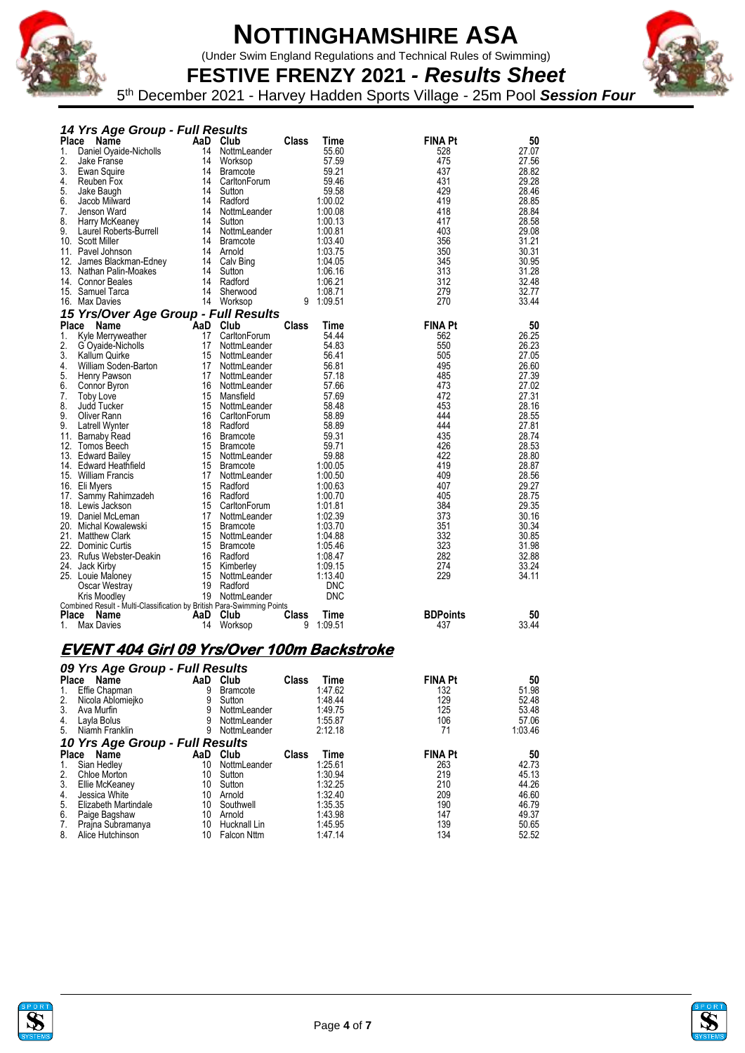

(Under Swim England Regulations and Technical Rules of Swimming)



**FESTIVE FRENZY 2021** *- Results Sheet* 5 th December 2021 - Harvey Hadden Sports Village - 25m Pool *Session Four*

|                | 14 Yrs Age Group - Full Results                                                |           |                 |              |             |                 |       |
|----------------|--------------------------------------------------------------------------------|-----------|-----------------|--------------|-------------|-----------------|-------|
|                | Place Name                                                                     | AaD Club  |                 | <b>Class</b> | <b>Time</b> | <b>FINA Pt</b>  | 50    |
| 1.             | Daniel Oyaide-Nicholls                                                         | 14        | NottmLeander    |              | 55.60       | 528             | 27.07 |
| 2.             | Jake Franse                                                                    | 14        | Worksop         |              | 57.59       | 475             | 27.56 |
| 3.             | Ewan Squire                                                                    | 14        | <b>Bramcote</b> |              | 59.21       | 437             | 28.82 |
| 4.             | Reuben Fox                                                                     | 14        | CarltonForum    |              | 59.46       | 431             | 29.28 |
| 5.             | Jake Baugh                                                                     | 14        | Sutton          |              | 59.58       | 429             | 28.46 |
| 6.             | Jacob Milward                                                                  | 14        | Radford         |              | 1:00.02     | 419             | 28.85 |
| 7.             | Jenson Ward                                                                    | 14        | NottmLeander    |              | 1:00.08     | 418             | 28.84 |
| 8.             | Harry McKeaney                                                                 | 14        | Sutton          |              | 1:00.13     | 417             | 28.58 |
| 9.             | Laurel Roberts-Burrell                                                         |           | 14 NottmLeander |              | 1:00.81     | 403             | 29.08 |
|                | 10. Scott Miller                                                               | 14        | <b>Bramcote</b> |              | 1:03.40     | 356             | 31.21 |
|                | 11. Pavel Johnson                                                              |           | 14 Arnold       |              | 1:03.75     | 350             | 30.31 |
|                | 12. James Blackman-Edney                                                       | 14        | Calv Bing       |              | 1:04.05     | 345             | 30.95 |
|                | 13. Nathan Palin-Moakes                                                        | 14        | Sutton          |              | 1:06.16     | 313             | 31.28 |
|                | 14. Connor Beales                                                              | 14        | Radford         |              | 1:06.21     | 312             | 32.48 |
|                | 15. Samuel Tarca                                                               | 14        | Sherwood        |              | 1:08.71     | 279             | 32.77 |
|                | 16. Max Davies                                                                 |           | 14 Worksop      | 9            | 1:09.51     | 270             | 33.44 |
|                | 15 Yrs/Over Age Group - Full Results                                           |           |                 |              |             |                 |       |
|                | <b>Place</b><br>Name                                                           | `AaD Club |                 | <b>Class</b> | <b>Time</b> | <b>FINA Pt</b>  | 50    |
| $\mathbf{1}$ . | Kyle Merryweather                                                              | 17        | CarltonForum    |              | 54.44       | 562             | 26.25 |
| 2.             | G Oyaide-Nicholls                                                              | 17        | NottmLeander    |              | 54.83       | 550             | 26.23 |
| 3.             | <b>Kallum Quirke</b>                                                           |           | 15 NottmLeander |              | 56.41       | 505             | 27.05 |
| 4.             | William Soden-Barton                                                           | 17        | NottmLeander    |              | 56.81       | 495             | 26.60 |
| 5.             | Henry Pawson                                                                   |           | 17 NottmLeander |              | 57.18       | 485             | 27.39 |
| 6.             | Connor Byron                                                                   |           | 16 NottmLeander |              | 57.66       | 473             | 27.02 |
| 7.             | <b>Toby Love</b>                                                               |           | 15 Mansfield    |              | 57.69       | 472             | 27.31 |
| 8.             | <b>Judd Tucker</b>                                                             |           | 15 NottmLeander |              | 58.48       | 453             | 28.16 |
| 9.             | Oliver Rann                                                                    | 16        | CarltonForum    |              | 58.89       | 444             | 28.55 |
| 9.             | <b>Latrell Wynter</b>                                                          |           | 18 Radford      |              | 58.89       | 444             | 27.81 |
|                | 11. Barnaby Read                                                               |           | 16 Bramcote     |              | 59.31       | 435             | 28.74 |
|                | 12. Tomos Beech                                                                |           | 15 Bramcote     |              | 59.71       | 426             | 28.53 |
|                | 13. Edward Bailey                                                              |           | 15 NottmLeander |              | 59.88       | 422             | 28.80 |
|                | 14. Edward Heathfield                                                          |           | 15 Bramcote     |              | 1:00.05     | 419             | 28.87 |
|                | 15. William Francis                                                            | 17        | NottmLeander    |              | 1:00.50     | 409             | 28.56 |
|                | 16. Eli Myers                                                                  | 15        | Radford         |              | 1:00.63     | 407             | 29.27 |
|                | 17. Sammy Rahimzadeh                                                           | 16        | Radford         |              | 1:00.70     | 405             | 28.75 |
|                | 18. Lewis Jackson                                                              | 15        | CarltonForum    |              | 1:01.81     | 384             | 29.35 |
|                | 19. Daniel McLeman                                                             |           | 17 NottmLeander |              | 1:02.39     | 373             | 30.16 |
|                | 20. Michal Kowalewski                                                          | 15        | <b>Bramcote</b> |              | 1:03.70     | 351             | 30.34 |
|                | 21. Matthew Clark                                                              |           | 15 NottmLeander |              | 1:04.88     | 332             | 30.85 |
|                | 22. Dominic Curtis                                                             |           | 15 Bramcote     |              | 1:05.46     | 323             | 31.98 |
|                | 23. Rufus Webster-Deakin                                                       |           | 16 Radford      |              | 1:08.47     | 282             | 32.88 |
|                | 24. Jack Kirby                                                                 | 15        | Kimberley       |              | 1:09.15     | 274             | 33.24 |
|                | 25. Louie Maloney                                                              | 15        | NottmLeander    |              | 1:13.40     | 229             | 34.11 |
|                | Oscar Westray                                                                  |           | 19 Radford      |              | <b>DNC</b>  |                 |       |
|                | Kris Moodley                                                                   |           | 19 NottmLeander |              | <b>DNC</b>  |                 |       |
| Place          | Combined Result - Multi-Classification by British Para-Swimming Points<br>Name | AaD       | Club            | <b>Class</b> | Time        | <b>BDPoints</b> | 50    |
| $1_{-}$        | <b>Max Davies</b>                                                              | 14        | Worksop         | 9            | 1:09.51     | 437             | 33.44 |
|                |                                                                                |           |                 |              |             |                 |       |

#### **EVENT 404 Girl 09 Yrs/Over 100m Backstroke**

|              | 09 Yrs Age Group - Full Results |     |                    |       |         |                |         |  |  |  |
|--------------|---------------------------------|-----|--------------------|-------|---------|----------------|---------|--|--|--|
| <b>Place</b> | Name                            |     | AaD Club           | Class | Time    | <b>FINA Pt</b> | 50      |  |  |  |
| 1.           | Effie Chapman                   | 9   | Bramcote           |       | 1:47.62 | 132            | 51.98   |  |  |  |
| 2.           | Nicola Ablomiejko               | 9   | Sutton             |       | 1:48.44 | 129            | 52.48   |  |  |  |
| 3.           | Ava Murfin                      | 9   | NottmLeander       |       | 1:49.75 | 125            | 53.48   |  |  |  |
| 4.           | Layla Bolus                     | 9   | NottmLeander       |       | 1:55.87 | 106            | 57.06   |  |  |  |
| 5.           | Niamh Franklin                  | 9   | NottmLeander       |       | 2:12.18 | 71             | 1:03.46 |  |  |  |
|              | 10 Yrs Age Group - Full Results |     |                    |       |         |                |         |  |  |  |
| Place        | Name                            | AaD | Club               | Class | Time    | <b>FINA Pt</b> | 50      |  |  |  |
| 1.           | Sian Hedley                     | 10  | NottmLeander       |       | 1:25.61 | 263            | 42.73   |  |  |  |
| 2.           | <b>Chloe Morton</b>             | 10  | Sutton             |       | 1:30.94 | 219            | 45.13   |  |  |  |
| 3.           | Ellie McKeaney                  | 10  | Sutton             |       | 1:32.25 | 210            | 44.26   |  |  |  |
| 4.           | Jessica White                   | 10  | Arnold             |       | 1:32.40 | 209            | 46.60   |  |  |  |
| 5.           | Elizabeth Martindale            | 10  | Southwell          |       | 1:35.35 | 190            | 46.79   |  |  |  |
| 6.           | Paige Bagshaw                   | 10  | Arnold             |       | 1:43.98 | 147            | 49.37   |  |  |  |
| 7.           | Prajna Subramanya               | 10  | Hucknall Lin       |       | 1:45.95 | 139            | 50.65   |  |  |  |
| 8.           | Alice Hutchinson                | 10  | <b>Falcon Nttm</b> |       | 1:47.14 | 134            | 52.52   |  |  |  |



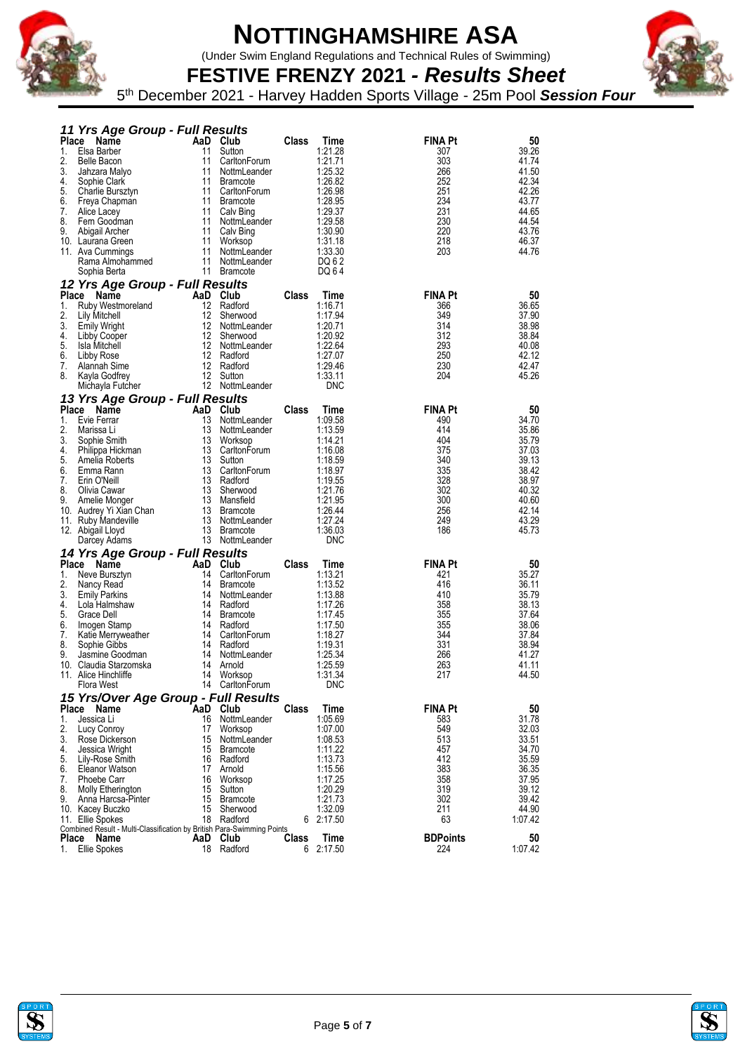

(Under Swim England Regulations and Technical Rules of Swimming)

**FESTIVE FRENZY 2021** *- Results Sheet* 5 th December 2021 - Harvey Hadden Sports Village - 25m Pool *Session Four*

|                    | 11 Yrs Age Group - Full Results                                                |          |                                 |       |                    |                       |                |
|--------------------|--------------------------------------------------------------------------------|----------|---------------------------------|-------|--------------------|-----------------------|----------------|
| <b>Place</b>       | Name                                                                           |          | AaD Club                        | Class | Time               | <b>FINA Pt</b>        | 50             |
| 1.<br>2.           | Elsa Barber<br><b>Belle Bacon</b>                                              | 11<br>11 | Sutton<br>CarltonForum          |       | 1:21.28<br>1:21.71 | 307<br>303            | 39.26<br>41.74 |
| 3.                 | Jahzara Malyo                                                                  | 11       | NottmLeander                    |       | 1:25.32            | 266                   | 41.50          |
| 4.                 | Sophie Clark                                                                   | 11       | <b>Bramcote</b>                 |       | 1:26.82            | 252                   | 42.34          |
| 5.                 | Charlie Bursztyn                                                               |          | 11 CarltonForum                 |       | 1:26.98            | 251                   | 42.26          |
| 6.                 | Freya Chapman                                                                  | 11       | <b>Bramcote</b>                 |       | 1:28.95            | 234                   | 43.77          |
| 7.<br>8.           | Alice Lacey<br>Fern Goodman                                                    |          | 11 Calv Bing<br>11 NottmLeander |       | 1:29.37<br>1:29.58 | 231<br>230            | 44.65<br>44.54 |
| 9.                 | Abigail Archer                                                                 | 11       | Calv Bing                       |       | 1:30.90            | 220                   | 43.76          |
|                    | 10. Laurana Green                                                              | 11       | Worksop                         |       | 1:31.18            | 218                   | 46.37          |
|                    | 11. Ava Cummings                                                               | 11       | NottmLeander                    |       | 1:33.30            | 203                   | 44.76          |
|                    | Rama Almohammed                                                                | 11       | NottmLeander<br>11 Bramcote     |       | DQ 6 2             |                       |                |
|                    | Sophia Berta                                                                   |          |                                 |       | DQ 64              |                       |                |
| <b>Place</b>       | 12 Yrs Age Group - Full Results<br>Name                                        |          | AaD Club                        | Class | Time               | <b>FINA Pt</b>        | 50             |
| 1.                 | Ruby Westmoreland                                                              | 12       | Radford                         |       | 1:16.71            | 366                   | 36.65          |
| 2.                 | Lily Mitchell                                                                  |          | 12 Sherwood                     |       | 1:17.94            | 349                   | 37.90          |
| 3.                 | Emily Wright                                                                   |          | 12 NottmLeander                 |       | 1:20.71            | 314                   | 38.98          |
| 4.<br>5.           | Libby Cooper                                                                   | 12       | Sherwood                        |       | 1:20.92<br>1:22.64 | 312                   | 38.84          |
| 6.                 | Isla Mitchell<br>Libby Rose                                                    |          | 12 NottmLeander<br>12 Radford   |       | 1:27.07            | 293<br>250            | 40.08<br>42.12 |
| 7.                 | Alannah Sime                                                                   |          | 12 Radford                      |       | 1:29.46            | 230                   | 42.47          |
| 8.                 | Kayla Godfrey                                                                  |          | 12 Sutton                       |       | 1:33.11            | 204                   | 45.26          |
|                    | Michayla Futcher                                                               |          | 12 NottmLeander                 |       | <b>DNC</b>         |                       |                |
|                    | 13 Yrs Age Group - Full Results                                                |          |                                 |       |                    |                       |                |
| <b>Place</b><br>1. | Name<br>Evie Ferrar                                                            | 13       | AaD Club<br>NottmLeander        | Class | Time<br>1:09.58    | <b>FINA Pt</b><br>490 | 50<br>34.70    |
| 2.                 | Marissa Li                                                                     |          | 13 NottmLeander                 |       | 1:13.59            | 414                   | 35.86          |
| 3.                 | Sophie Smith                                                                   | 13       | Worksop                         |       | 1:14.21            | 404                   | 35.79          |
| 4.                 | Philippa Hickman                                                               |          | 13 CarltonForum                 |       | 1:16.08            | 375                   | 37.03          |
| 5.                 | Amelia Roberts                                                                 |          | 13 Sutton                       |       | 1:18.59            | 340                   | 39.13          |
| 6.<br>7.           | Emma Rann<br>Erin O'Neill                                                      | 13       | CarltonForum<br>13 Radford      |       | 1:18.97<br>1:19.55 | 335<br>328            | 38.42<br>38.97 |
| 8.                 | Olivia Cawar                                                                   |          | 13 Sherwood                     |       | 1:21.76            | 302                   | 40.32          |
| 9.                 | Amelie Monger                                                                  |          | 13 Mansfield                    |       | 1:21.95            | 300                   | 40.60          |
|                    | 10. Audrey Yi Xian Chan                                                        |          | 13 Bramcote                     |       | 1:26.44            | 256                   | 42.14          |
|                    | 11. Ruby Mandeville                                                            |          | 13 NottmLeander                 |       | 1:27.24            | 249                   | 43.29          |
|                    | 12. Abigail Lloyd<br>Darcey Adams                                              | 13       | Bramcote<br>13 NottmLeander     |       | 1:36.03<br>DNC     | 186                   | 45.73          |
|                    | 14 Yrs Age Group - Full Results                                                |          |                                 |       |                    |                       |                |
|                    | Place<br>Name                                                                  | AaD      | Club                            | Class | Time               | <b>FINA Pt</b>        | 50             |
| 1.                 | Neve Bursztyn                                                                  | 14       | CarltonForum                    |       | 1:13.21            | 421                   | 35.27          |
| 2.                 | Nancy Read                                                                     | 14       | <b>Bramcote</b>                 |       | 1:13.52            | 416                   | 36.11          |
| 3.<br>4.           | <b>Emily Parkins</b><br>Lola Halmshaw                                          | 14       | NottmLeander<br>14 Radford      |       | 1:13.88<br>1:17.26 | 410<br>358            | 35.79<br>38.13 |
| 5.                 | Grace Dell                                                                     |          | 14 Bramcote                     |       | 1:17.45            | 355                   | 37.64          |
| 6.                 | Imogen Stamp                                                                   | 14       | Radford                         |       | 1:17.50            | 355                   | 38.06          |
| 7.                 | Katie Merryweather                                                             | 14       | CarltonForum                    |       | 1:18.27            | 344                   | 37.84          |
| 8.                 | Sophie Gibbs                                                                   |          | 14 Radford                      |       | 1:19.31            | 331                   | 38.94          |
| 9.                 | Jasmine Goodman<br>10. Claudia Starzomska                                      | 14<br>14 | NottmLeander<br>Arnold          |       | 1:25.34<br>1:25.59 | 266<br>263            | 41.27<br>41.11 |
|                    | 11. Alice Hinchliffe                                                           | 14       | Worksop                         |       | 1:31.34            | 217                   | 44.50          |
|                    | Flora West                                                                     |          | 14 CarltonForum                 |       | DNC                |                       |                |
|                    | 15 Yrs/Over Age Group - Full Results                                           |          |                                 |       |                    |                       |                |
|                    | Place Name                                                                     |          | AaD Club                        | Class | Time               | <b>FINA Pt</b>        | 50             |
| 1.<br>2.           | Jessica Li<br>Lucy Conroy                                                      | 16       | NottmLeander<br>17 Worksop      |       | 1:05.69<br>1:07.00 | 583<br>549            | 31.78<br>32.03 |
| 3.                 | Rose Dickerson                                                                 |          | 15 NottmLeander                 |       | 1:08.53            | 513                   | 33.51          |
| 4.                 | Jessica Wright                                                                 |          | 15 Bramcote                     |       | 1:11.22            | 457                   | 34.70          |
| 5.                 | Lily-Rose Smith                                                                |          | 16 Radford                      |       | 1:13.73            | 412                   | 35.59          |
| 6.                 | Eleanor Watson                                                                 | 17       | Arnold                          |       | 1:15.56            | 383                   | 36.35          |
| 7.<br>8.           | Phoebe Carr<br>Molly Etherington                                               | 15       | 16 Worksop<br>Sutton            |       | 1:17.25<br>1:20.29 | 358<br>319            | 37.95<br>39.12 |
| 9.                 | Anna Harcsa-Pinter                                                             | 15       | Bramcote                        |       | 1:21.73            | 302                   | 39.42          |
|                    | 10. Kacey Buczko                                                               | 15       | Sherwood                        |       | 1:32.09            | 211                   | 44.90          |
|                    | 11. Ellie Spokes                                                               |          | 18 Radford                      |       | 6 2:17.50          | 63                    | 1:07.42        |
| Place              | Combined Result - Multi-Classification by British Para-Swimming Points<br>Name |          | AaD Club                        | Class | Time               | <b>BDPoints</b>       | 50             |
| 1.                 | Ellie Spokes                                                                   |          | 18 Radford                      |       | 6 2:17.50          | 224                   | 1:07.42        |



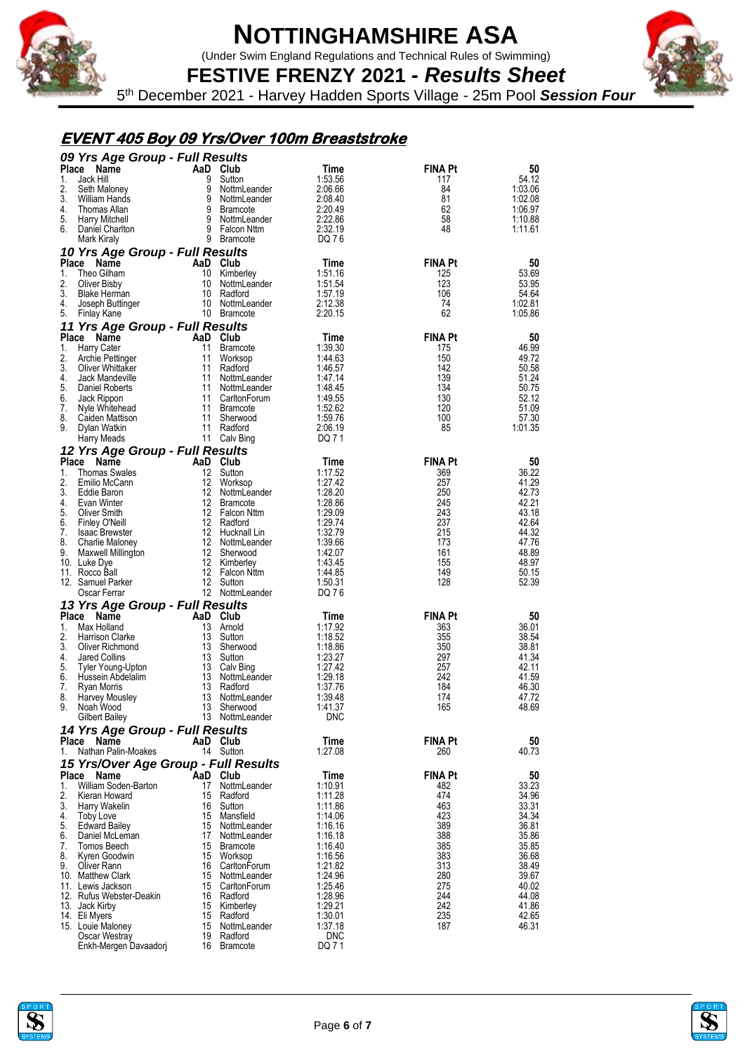

(Under Swim England Regulations and Technical Rules of Swimming)



**FESTIVE FRENZY 2021** *- Results Sheet* 5 th December 2021 - Harvey Hadden Sports Village - 25m Pool *Session Four*

### **EVENT 405 Boy 09 Yrs/Over 100m Breaststroke**

|              | 09 Yrs Age Group - Full Results                       |                |                                    |                    |                       |                    |  |  |
|--------------|-------------------------------------------------------|----------------|------------------------------------|--------------------|-----------------------|--------------------|--|--|
| <b>Place</b> | Name                                                  | AaD Club       |                                    | Time               | <b>FINA Pt</b>        | 50                 |  |  |
| 1.<br>2.     | Jack Hill<br>Seth Maloney                             | 9<br>9         | Sutton<br>NottmLeander             | 1:53.56<br>2:06.66 | 117<br>84             | 54.12<br>1:03.06   |  |  |
| 3.           | William Hands                                         | 9              | NottmLeander                       | 2:08.40            | 81                    | 1:02.08            |  |  |
| 4.           | Thomas Allan                                          |                | 9 Bramcote                         | 2:20.49            | 62                    | 1:06.97            |  |  |
| 5.<br>6.     | <b>Harry Mitchell</b><br>Daniel Charlton              |                | 9 NottmLeander<br>9 Falcon Nttm    | 2:22.86<br>2:32.19 | 58<br>48              | 1:10.88<br>1:11.61 |  |  |
|              | Mark Kiraly                                           |                | 9 Bramcote                         | DQ 76              |                       |                    |  |  |
|              | 10 Yrs Age Group - Full Results                       |                |                                    |                    |                       |                    |  |  |
| <b>Place</b> | Name                                                  | AaD Club       |                                    | Time               | <b>FINA Pt</b>        | 50                 |  |  |
| 1.<br>2.     | Theo Gilham<br><b>Oliver Bisby</b>                    | 10             | Kimberley<br>10 NottmLeander       | 1:51.16<br>1:51.54 | 125<br>123            | 53.69<br>53.95     |  |  |
| 3.           | <b>Blake Herman</b>                                   |                | 10 Radford                         | 1:57.19            | 106                   | 54.64              |  |  |
| 4.           | Joseph Buttinger                                      |                | 10 NottmLeander                    | 2:12.38            | 74                    | 1:02.81            |  |  |
| 5.           | Finlay Kane                                           |                | 10 Bramcote                        | 2:20.15            | 62                    | 1:05.86            |  |  |
|              | 11 Yrs Age Group - Full Results                       |                |                                    |                    |                       |                    |  |  |
| 1.           | Place Name<br><b>Harry Cater</b>                      | AaD Club<br>11 | <b>Bramcote</b>                    | Time<br>1:39.30    | <b>FINA Pt</b><br>175 | 50<br>46.99        |  |  |
| 2.           | Archie Pettinger                                      |                | 11 Worksop                         | 1:44.63            | 150                   | 49.72              |  |  |
| 3.           | Oliver Whittaker                                      |                | 11 Radford                         | 1:46.57            | 142                   | 50.58              |  |  |
| 4.           | Jack Mandeville                                       | 11             | NottmLeander                       | 1:47.14            | 139                   | 51.24              |  |  |
| 5.<br>6.     | Daniel Roberts<br>Jack Rippon                         |                | 11 NottmLeander<br>11 CarltonForum | 1:48.45<br>1:49.55 | 134<br>130            | 50.75<br>52.12     |  |  |
| 7.           | Nyle Whitehead                                        |                | 11 Bramcote                        | 1:52.62            | 120                   | 51.09              |  |  |
| 8.           | Caiden Mattison                                       |                | 11 Sherwood                        | 1:59.76            | 100                   | 57.30              |  |  |
| 9.           | Dylan Watkin                                          |                | 11 Radford<br>11 Calv Bing         | 2:06.19<br>DQ 71   | 85                    | 1:01.35            |  |  |
|              | <b>Harry Meads</b><br>12 Yrs Age Group - Full Results |                |                                    |                    |                       |                    |  |  |
| <b>Place</b> | <b>Name</b>                                           | AaD Club       |                                    | Time               | <b>FINA Pt</b>        | 50                 |  |  |
| 1.           | <b>Thomas Swales</b>                                  | 12             | Sutton                             | 1:17.52            | 369                   | 36.22              |  |  |
| 2.           | Emilio McCann                                         | 12             | Worksop                            | 1:27.42            | 257                   | 41.29              |  |  |
| 3.<br>4.     | Eddie Baron<br>Evan Winter                            |                | 12 NottmLeander<br>12 Bramcote     | 1:28.20<br>1:28.86 | 250<br>245            | 42.73<br>42.21     |  |  |
| 5.           | <b>Oliver Smith</b>                                   |                | 12 Falcon Nttm                     | 1:29.09            | 243                   | 43.18              |  |  |
| 6.           | <b>Finley O'Neill</b>                                 |                | 12 Radford                         | 1:29.74            | 237                   | 42.64              |  |  |
| 7.           | <b>Isaac Brewster</b>                                 |                | 12 Hucknall Lin                    | 1:32.79            | 215                   | 44.32              |  |  |
| 8.<br>9.     | Charlie Maloney<br>Maxwell Millington                 |                | 12 NottmLeander<br>12 Sherwood     | 1:39.66<br>1:42.07 | 173<br>161            | 47.76<br>48.89     |  |  |
|              | 10. Luke Dye                                          |                | 12 Kimberley                       | 1:43.45            | 155                   | 48.97              |  |  |
|              | 11. Rocco Ball                                        |                | 12 Falcon Nttm                     | 1:44.85            | 149                   | 50.15              |  |  |
|              | 12. Samuel Parker                                     |                | 12 Sutton                          | 1:50.31            | 128                   | 52.39              |  |  |
|              | Oscar Ferrar<br>13 Yrs Age Group - Full Results       |                | 12 NottmLeander                    | DQ 76              |                       |                    |  |  |
| <b>Place</b> | Name                                                  | AaD Club       |                                    | Time               | <b>FINA Pt</b>        | 50                 |  |  |
| 1.           | Max Holland                                           |                | 13 Arnold                          | 1:17.92            | 363                   | 36.01              |  |  |
| 2.           | <b>Harrison Clarke</b>                                |                | 13 Sutton                          | 1:18.52            | 355                   | 38.54              |  |  |
| 3.<br>4.     | Oliver Richmond<br>Jared Collins                      | 13             | Sherwood<br>13 Sutton              | 1:18.86<br>1:23.27 | 350<br>297            | 38.81<br>41.34     |  |  |
| 5.           | Tyler Young-Upton                                     |                | 13 Calv Bing                       | 1:27.42            | 257                   | 42.11              |  |  |
| 6.           | Hussein Abdelalim                                     | 13             | NottmLeander                       | 1:29.18            | 242                   | 41.59              |  |  |
| 7.           | Ryan Morris                                           | 13             | Radford                            | 1:37.76            | 184                   | 46.30              |  |  |
| 8.<br>9.     | Harvey Mousley<br>Noah Wood                           | 13<br>13       | NottmLeander<br>Sherwood           | 1:39.48<br>1:41.37 | 174<br>165            | 47.72<br>48.69     |  |  |
|              | Gilbert Bailey                                        |                | 13 NottmLeander                    | <b>DNC</b>         |                       |                    |  |  |
|              | 14 Yrs Age Group - Full Results                       |                |                                    |                    |                       |                    |  |  |
|              | Place<br><b>Name</b>                                  | AaD Club       |                                    | Time               | <b>FINA Pt</b>        | 50                 |  |  |
| 1.           | Nathan Palin-Moakes                                   |                | 14 Sutton                          | 1:27.08            | 260                   | 40.73              |  |  |
| Place        | 15 Yrs/Over Age Group - Full Results<br>Name          | AaD Club       |                                    | Time               | <b>FINA Pt</b>        |                    |  |  |
| 1.           | William Soden-Barton                                  | 17             | NottmLeander                       | 1:10.91            | 482                   | 50<br>33.23        |  |  |
| 2.           | Kieran Howard                                         | 15             | Radford                            | 1:11.28            | 474                   | 34.96              |  |  |
| 3.           | Harry Wakelin                                         | 16             | Sutton                             | 1:11.86            | 463                   | 33.31              |  |  |
| 4.<br>5.     | <b>Toby Love</b><br>Edward Bailey                     | 15<br>15       | Mansfield<br>NottmLeander          | 1:14.06<br>1:16.16 | 423<br>389            | 34.34<br>36.81     |  |  |
| 6.           | Daniel McLeman                                        | 17             | NottmLeander                       | 1:16.18            | 388                   | 35.86              |  |  |
| 7.           | Tomos Beech                                           |                | 15 Bramcote                        | 1:16.40            | 385                   | 35.85              |  |  |
| 8.           | Kyren Goodwin                                         | 15             | Worksop                            | 1:16.56            | 383                   | 36.68              |  |  |
| 9.           | Oliver Rann<br>10. Matthew Clark                      | 16<br>15       | CarltonForum<br>NottmLeander       | 1:21.82<br>1:24.96 | 313<br>280            | 38.49<br>39.67     |  |  |
|              | 11. Lewis Jackson                                     | 15             | CarltonForum                       | 1:25.46            | 275                   | 40.02              |  |  |
|              | 12. Rufus Webster-Deakin                              |                | 16 Radford                         | 1:28.96            | 244                   | 44.08              |  |  |
|              | 13. Jack Kirby                                        |                | 15 Kimberley                       | 1:29.21            | 242                   | 41.86              |  |  |
|              | 14. Eli Myers<br>15. Louie Maloney                    | 15<br>15       | Radford<br>NottmLeander            | 1:30.01<br>1:37.18 | 235<br>187            | 42.65<br>46.31     |  |  |
|              | Oscar Westray                                         | 19             | Radford                            | <b>DNC</b>         |                       |                    |  |  |
|              | Enkh-Mergen Davaadorj                                 |                | 16 Bramcote                        | DQ 71              |                       |                    |  |  |